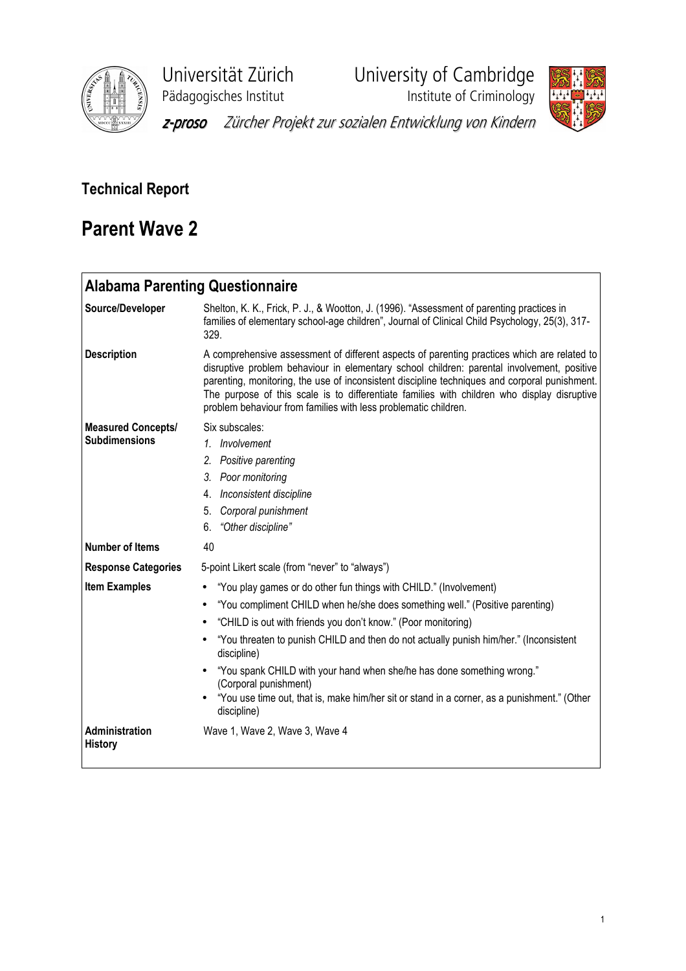

Universität Zürich University of Cambridge

Pädagogisches Institut **Institute institute of Criminology** 



z-proso Zürcher Projekt zur sozialen Entwicklung von Kindern

# Technical Report

# Parent Wave 2

| <b>Alabama Parenting Questionnaire</b>            |                                                                                                                                                                                                                                                                                                                                                                                                                                                                                                                                                                                         |
|---------------------------------------------------|-----------------------------------------------------------------------------------------------------------------------------------------------------------------------------------------------------------------------------------------------------------------------------------------------------------------------------------------------------------------------------------------------------------------------------------------------------------------------------------------------------------------------------------------------------------------------------------------|
| Source/Developer                                  | Shelton, K. K., Frick, P. J., & Wootton, J. (1996). "Assessment of parenting practices in<br>families of elementary school-age children", Journal of Clinical Child Psychology, 25(3), 317-<br>329.                                                                                                                                                                                                                                                                                                                                                                                     |
| <b>Description</b>                                | A comprehensive assessment of different aspects of parenting practices which are related to<br>disruptive problem behaviour in elementary school children: parental involvement, positive<br>parenting, monitoring, the use of inconsistent discipline techniques and corporal punishment.<br>The purpose of this scale is to differentiate families with children who display disruptive<br>problem behaviour from families with less problematic children.                                                                                                                            |
| <b>Measured Concepts/</b><br><b>Subdimensions</b> | Six subscales:<br>1. Involvement<br>2.<br>Positive parenting<br>Poor monitoring<br>3.<br>Inconsistent discipline<br>4.<br>Corporal punishment<br>5.<br>"Other discipline"<br>6.                                                                                                                                                                                                                                                                                                                                                                                                         |
| <b>Number of Items</b>                            | 40                                                                                                                                                                                                                                                                                                                                                                                                                                                                                                                                                                                      |
| <b>Response Categories</b>                        | 5-point Likert scale (from "never" to "always")                                                                                                                                                                                                                                                                                                                                                                                                                                                                                                                                         |
| <b>Item Examples</b>                              | "You play games or do other fun things with CHILD." (Involvement)<br>٠<br>"You compliment CHILD when he/she does something well." (Positive parenting)<br>$\bullet$<br>"CHILD is out with friends you don't know." (Poor monitoring)<br>$\bullet$<br>"You threaten to punish CHILD and then do not actually punish him/her." (Inconsistent<br>$\bullet$<br>discipline)<br>"You spank CHILD with your hand when she/he has done something wrong."<br>(Corporal punishment)<br>"You use time out, that is, make him/her sit or stand in a corner, as a punishment." (Other<br>discipline) |
| Administration<br><b>History</b>                  | Wave 1, Wave 2, Wave 3, Wave 4                                                                                                                                                                                                                                                                                                                                                                                                                                                                                                                                                          |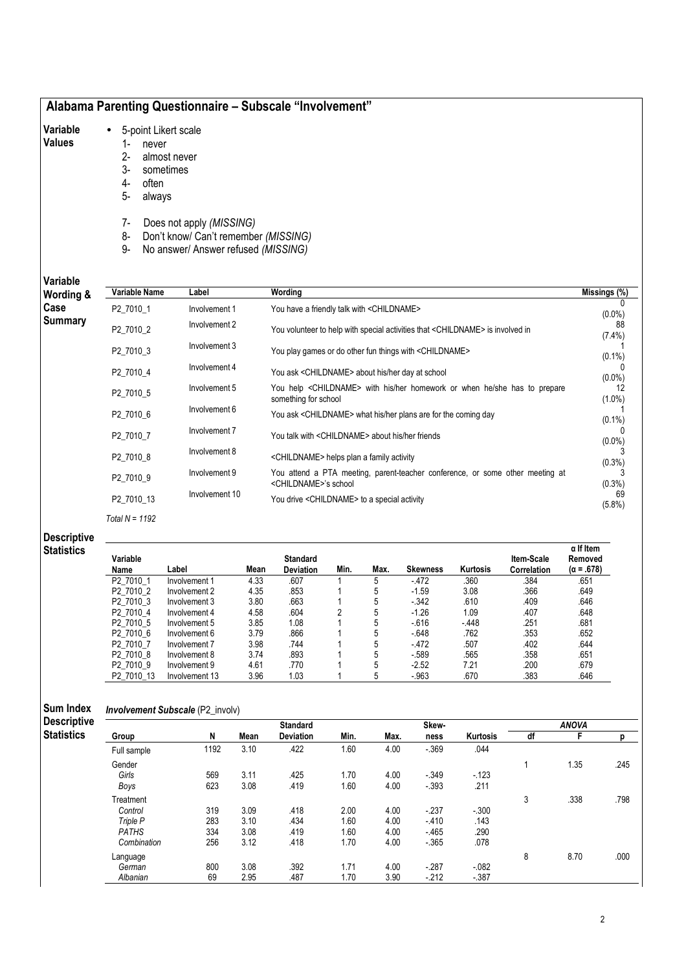## Alabama Parenting Questionnaire – Subscale "Involvement"

#### Variable • 5-point Likert scale

### Values

- 1- never 2- almost never
	- 3- sometimes
	- 4- often
	- 5- always
	- 7- Does not apply (MISSING)
	- 8- Don't know/ Can't remember (MISSING)
	- 9- No answer/ Answer refused (MISSING)

### Variable  $W$

|                            |                |                                                                                           | $\overline{\mathsf{Missings}}$ (%)                                  |
|----------------------------|----------------|-------------------------------------------------------------------------------------------|---------------------------------------------------------------------|
| P2 7010 1                  | Involvement 1  | You have a friendly talk with <childname></childname>                                     | $(0.0\%)$                                                           |
| P2 7010 2                  | Involvement 2  | You volunteer to help with special activities that <childname> is involved in</childname> | 88<br>$(7.4\%)$                                                     |
| P2 7010 3                  | Involvement 3  | You play games or do other fun things with <childname></childname>                        | $(0.1\%)$                                                           |
| P2 7010 4                  | Involvement 4  | You ask <childname> about his/her day at school</childname>                               | $(0.0\%)$                                                           |
| P2 7010 5                  | Involvement 5  | You help <childname> with his/her homework or when he/she has to prepare</childname>      | 12<br>$(1.0\%)$                                                     |
| P2 7010 6                  | Involvement 6  | You ask <childname> what his/her plans are for the coming day</childname>                 | $(0.1\%)$                                                           |
| P2 7010 7                  | Involvement 7  | You talk with <childname> about his/her friends</childname>                               | $(0.0\%)$                                                           |
| P2 7010 8                  | Involvement 8  | <childname> helps plan a family activity</childname>                                      | (0.3%)                                                              |
| Involvement 9<br>P2 7010 9 |                | You attend a PTA meeting, parent-teacher conference, or some other meeting at             | $(0.3\%)$                                                           |
| P2 7010 13                 | Involvement 10 | You drive <childname> to a special activity</childname>                                   | 69<br>(5.8%)                                                        |
|                            | Variable Name  | Label                                                                                     | Wording<br>something for school<br><childname>'s school</childname> |

# Descriptive

Total  $N = 1192$ 

## **Statistics**

| Variable<br>Name       | Label          | Mean | Standard<br><b>Deviation</b> | Min. | Max. | <b>Skewness</b> | Kurtosis | Item-Scale<br>Correlation | $\alpha$ If Item<br>Removed<br>$(\alpha = .678)$ |
|------------------------|----------------|------|------------------------------|------|------|-----------------|----------|---------------------------|--------------------------------------------------|
| P2 7010 1              | Involvement 1  | 4.33 | .607                         |      | 5    | $-472$          | .360     | .384                      | .651                                             |
| P <sub>2</sub> 7010 2  | Involvement 2  | 4.35 | .853                         |      | 5    | $-1.59$         | 3.08     | .366                      | .649                                             |
| P2 7010 3              | Involvement 3  | 3.80 | .663                         |      | 5    | $-342$          | .610     | .409                      | .646                                             |
| P <sub>2</sub> 7010 4  | Involvement 4  | 4.58 | .604                         | 2    | 5    | $-1.26$         | 1.09     | .407                      | .648                                             |
| P <sub>2</sub> 7010 5  | Involvement 5  | 3.85 | 1.08                         |      | 5    | $-616$          | $-448$   | .251                      | .681                                             |
| P <sub>2</sub> 7010 6  | Involvement 6  | 3.79 | .866                         |      | 5    | $-648$          | .762     | .353                      | .652                                             |
| P <sub>2</sub> 7010 7  | Involvement 7  | 3.98 | .744                         |      | 5    | $-472$          | .507     | .402                      | .644                                             |
| P <sub>2</sub> 7010 8  | Involvement 8  | 3.74 | .893                         |      | 5    | $-589$          | .565     | .358                      | .651                                             |
| P <sub>2</sub> 7010 9  | Involvement 9  | 4.61 | .770                         |      | 5    | $-2.52$         | 7.21     | .200                      | .679                                             |
| P <sub>2</sub> 7010 13 | Involvement 13 | 3.96 | 1.03                         |      | 5    | $-.963$         | .670     | .383                      | .646                                             |

| Sum Index          | <b>Involvement Subscale (P2_involv)</b> |      |      |                  |      |      |          |                 |    |              |      |  |  |
|--------------------|-----------------------------------------|------|------|------------------|------|------|----------|-----------------|----|--------------|------|--|--|
| <b>Descriptive</b> |                                         |      |      | <b>Standard</b>  |      |      | Skew-    |                 |    | <b>ANOVA</b> |      |  |  |
| <b>Statistics</b>  | Group                                   | N    | Mean | <b>Deviation</b> | Min. | Max. | ness     | <b>Kurtosis</b> | df |              |      |  |  |
|                    | Full sample                             | 1192 | 3.10 | .422             | 1.60 | 4.00 | $-369$   | .044            |    |              |      |  |  |
|                    | Gender                                  |      |      |                  |      |      |          |                 |    | 1.35         | .245 |  |  |
|                    | Girls                                   | 569  | 3.11 | .425             | 1.70 | 4.00 | $-0.349$ | $-123$          |    |              |      |  |  |
|                    | Boys                                    | 623  | 3.08 | .419             | 1.60 | 4.00 | $-393$   | .211            |    |              |      |  |  |
|                    | Treatment                               |      |      |                  |      |      |          |                 | 3  | .338         | .798 |  |  |
|                    | Control                                 | 319  | 3.09 | .418             | 2.00 | 4.00 | $-237$   | $-300$          |    |              |      |  |  |
|                    | Triple P                                | 283  | 3.10 | .434             | 1.60 | 4.00 | $-410$   | .143            |    |              |      |  |  |
|                    | <b>PATHS</b>                            | 334  | 3.08 | .419             | 1.60 | 4.00 | $-465$   | .290            |    |              |      |  |  |
|                    | Combination                             | 256  | 3.12 | .418             | 1.70 | 4.00 | $-365$   | .078            |    |              |      |  |  |
|                    | Language                                |      |      |                  |      |      |          |                 | 8  | 8.70         | .000 |  |  |
|                    | German                                  | 800  | 3.08 | .392             | 1.71 | 4.00 | $-287$   | $-082$          |    |              |      |  |  |
|                    | Albanian                                | 69   | 2.95 | .487             | 1.70 | 3.90 | $-212$   | $-387$          |    |              |      |  |  |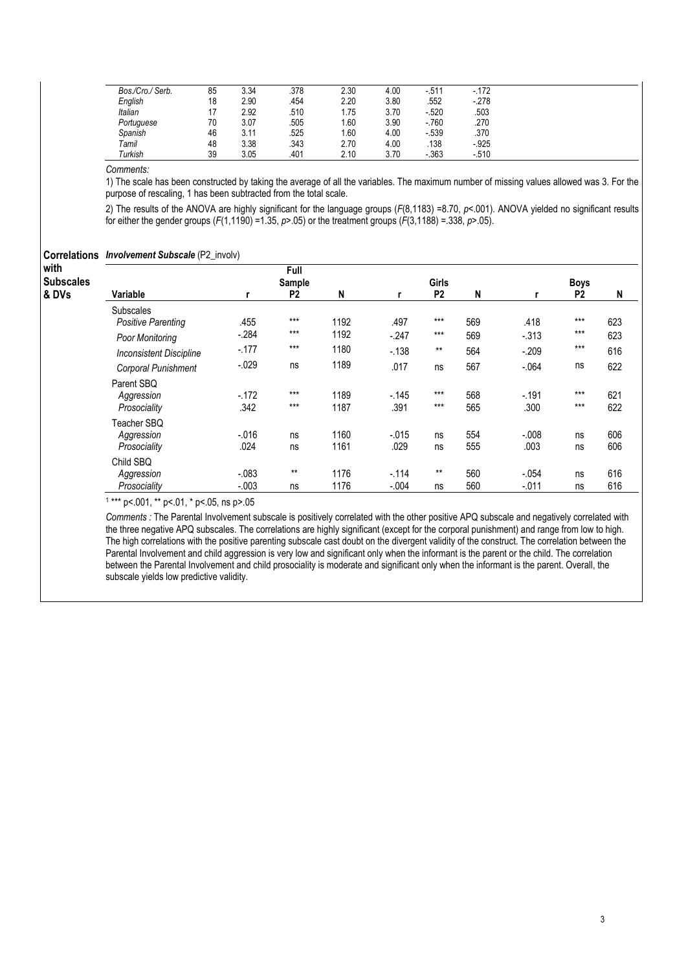| Bos./Cro./ Serb. | 85 | 3.34 | .378 | 2.30 | 4.00 | $-511$   | $-172$  |
|------------------|----|------|------|------|------|----------|---------|
| English          | 18 | 2.90 | 454  | 2.20 | 3.80 | .552     | $-278$  |
| <b>Italian</b>   |    | 2.92 | .510 | 1.75 | 3.70 | $-520$   | .503    |
| Portuguese       | 70 | 3.07 | 505  | .60  | 3.90 | $-760$   | .270    |
| Spanish          | 46 | 3.11 | .525 | .60  | 4.00 | $-539$   | .370    |
| Tamil            | 48 | 3.38 | .343 | 2.70 | 4.00 | .138     | $-.925$ |
| Turkish          | 39 | 3.05 | .401 | 2.10 | 3.70 | $-0.363$ | $-510$  |

Comments:

1) The scale has been constructed by taking the average of all the variables. The maximum number of missing values allowed was 3. For the purpose of rescaling, 1 has been subtracted from the total scale.

2) The results of the ANOVA are highly significant for the language groups (F(8,1183) =8.70, p<.001). ANOVA yielded no significant results for either the gender groups  $(F(1,1190) = 1.35, p > .05)$  or the treatment groups  $(F(3,1188) = .338, p > .05)$ .

| <b>Correlations Involvement Subscale (P2_involv)</b> |  |  |  |
|------------------------------------------------------|--|--|--|
|------------------------------------------------------|--|--|--|

| with<br><b>Subscales</b> |                                |          | Full<br>Sample |      |          | Girls          |     | <b>Boys</b> |                |     |  |
|--------------------------|--------------------------------|----------|----------------|------|----------|----------------|-----|-------------|----------------|-----|--|
| & DVs                    | Variable                       |          | P <sub>2</sub> | N    | r        | P <sub>2</sub> | N   |             | P <sub>2</sub> | N   |  |
|                          | <b>Subscales</b>               |          |                |      |          |                |     |             |                |     |  |
|                          | Positive Parenting             | .455     | $***$          | 1192 | .497     | $***$          | 569 | .418        | $***$          | 623 |  |
|                          | Poor Monitoring                | $-.284$  | $***$          | 1192 | $-.247$  | $***$          | 569 | $-313$      | $***$          | 623 |  |
|                          | <b>Inconsistent Discipline</b> | $-177$   | $***$          | 1180 | $-138$   | $***$          | 564 | $-.209$     | $***$          | 616 |  |
|                          | Corporal Punishment            | $-0.029$ | ns             | 1189 | .017     | ns             | 567 | $-064$      | ns             | 622 |  |
|                          | Parent SBQ                     |          |                |      |          |                |     |             |                |     |  |
|                          | Aggression                     | $-172$   | $***$          | 1189 | $-145$   | $***$          | 568 | $-0.191$    | $***$          | 621 |  |
|                          | Prosociality                   | .342     | $***$          | 1187 | .391     | $***$          | 565 | .300        | $***$          | 622 |  |
|                          | Teacher SBQ                    |          |                |      |          |                |     |             |                |     |  |
|                          | Aggression                     | $-0.016$ | ns             | 1160 | $-0.015$ | ns             | 554 | $-0.008$    | ns             | 606 |  |
|                          | Prosociality                   | .024     | ns             | 1161 | .029     | ns             | 555 | .003        | ns             | 606 |  |
|                          | Child SBQ                      |          |                |      |          |                |     |             |                |     |  |
|                          | Aggression                     | $-.083$  | $***$          | 1176 | $-114$   | $***$          | 560 | $-.054$     | ns             | 616 |  |
|                          | Prosociality                   | $-.003$  | ns             | 1176 | $-.004$  | ns             | 560 | $-.011$     | ns             | 616 |  |

1 \*\*\* p<.001, \*\* p<.01, \* p<.05, ns p>.05

Comments : The Parental Involvement subscale is positively correlated with the other positive APQ subscale and negatively correlated with the three negative APQ subscales. The correlations are highly significant (except for the corporal punishment) and range from low to high. The high correlations with the positive parenting subscale cast doubt on the divergent validity of the construct. The correlation between the Parental Involvement and child aggression is very low and significant only when the informant is the parent or the child. The correlation between the Parental Involvement and child prosociality is moderate and significant only when the informant is the parent. Overall, the subscale yields low predictive validity.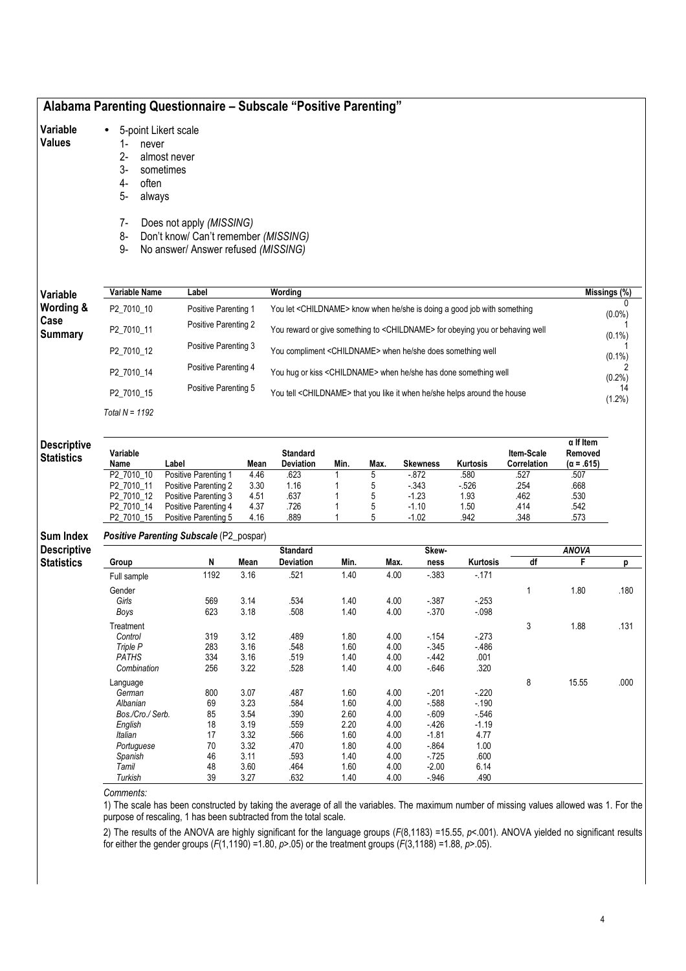# Alabama Parenting Questionnaire – Subscale "Positive Parenting"

#### Variable • 5-point Likert scale

### Values

- 1- never<br>2- almos 2- almost never<br>3- sometimes
- 3- sometimes
- often
- 5- always
- 7- Does not apply (MISSING)
- 8- Don't know/ Can't remember (MISSING)
- 9- No answer/ Answer refused (MISSING)

| Variable             | Variable Name  | Label                | Wording                                                                                  | Missings (%) |
|----------------------|----------------|----------------------|------------------------------------------------------------------------------------------|--------------|
| <b>Wording &amp;</b> | P2 7010 10     | Positive Parenting 1 | You let <childname> know when he/she is doing a good job with something</childname>      | $(0.0\%)$    |
| Case<br>Summary      | P2 7010 11     | Positive Parenting 2 | You reward or give something to <childname> for obeying you or behaving well</childname> | $(0.1\%)$    |
|                      | P2_7010_12     | Positive Parenting 3 | You compliment <childname> when he/she does something well</childname>                   | $(0.1\%)$    |
|                      | P2 7010 14     | Positive Parenting 4 | You hug or kiss <childname> when he/she has done something well</childname>              | $(0.2\%)$    |
|                      | P2 7010 15     | Positive Parenting 5 | You tell <childname> that you like it when he/she helps around the house</childname>     | $(1.2\%)$    |
|                      | Total N = 1192 |                      |                                                                                          |              |

### **Descriptive Statistics**

| Variable<br>Name       | _abel                | Mean | <b>Standard</b><br><b>Deviation</b> | Min. | Max. | <b>Skewness</b> | Kurtosis | <b>Item-Scale</b><br>Correlation | $\alpha$ If Item<br>Removed<br>$(\alpha = .615)$ |
|------------------------|----------------------|------|-------------------------------------|------|------|-----------------|----------|----------------------------------|--------------------------------------------------|
| P2 7010 10             | Positive Parenting 1 | 4.46 | .623                                |      |      | $-0.872$        | .580     | .527                             | .507                                             |
| P <sub>2</sub> 7010 11 | Positive Parenting 2 | 3.30 | 1.16                                |      |      | $-343$          | $-526$   | 254                              | .668                                             |
| P <sub>2</sub> 7010 12 | Positive Parenting 3 | 4.51 | .637                                |      |      | $-1.23$         | 1.93     | .462                             | .530                                             |
| P2 7010 14             | Positive Parenting 4 | 4.37 | .726                                |      |      | $-1.10$         | 1.50     | .414                             | .542                                             |
| P <sub>2</sub> 7010 15 | Positive Parenting 5 | 4.16 | .889                                |      |      | $-1.02$         | .942     | .348                             | .573                                             |

#### Sum Index Positive Parenting Subscale (P2\_pospar)

|                    | .                |      |      |                  |      |      |         |          |    |              |      |
|--------------------|------------------|------|------|------------------|------|------|---------|----------|----|--------------|------|
| <b>Descriptive</b> |                  |      |      | <b>Standard</b>  |      |      | Skew-   |          |    | <b>ANOVA</b> |      |
| <b>Statistics</b>  | Group            | N    | Mean | <b>Deviation</b> | Min. | Max. | ness    | Kurtosis | df | F            | D    |
|                    | Full sample      | 1192 | 3.16 | .521             | 1.40 | 4.00 | $-383$  | $-171$   |    |              |      |
|                    | Gender           |      |      |                  |      |      |         |          |    | 1.80         | .180 |
|                    | Girls            | 569  | 3.14 | .534             | 1.40 | 4.00 | $-387$  | $-253$   |    |              |      |
|                    | Boys             | 623  | 3.18 | .508             | 1.40 | 4.00 | $-370$  | $-0.98$  |    |              |      |
|                    | Treatment        |      |      |                  |      |      |         |          | 3  | 1.88         | .131 |
|                    | Control          | 319  | 3.12 | .489             | 1.80 | 4.00 | $-154$  | $-273$   |    |              |      |
|                    | Triple P         | 283  | 3.16 | .548             | 1.60 | 4.00 | $-345$  | $-486$   |    |              |      |
|                    | <b>PATHS</b>     | 334  | 3.16 | .519             | 1.40 | 4.00 | $-442$  | .001     |    |              |      |
|                    | Combination      | 256  | 3.22 | .528             | 1.40 | 4.00 | $-646$  | .320     |    |              |      |
|                    | Language         |      |      |                  |      |      |         |          | 8  | 15.55        | .000 |
|                    | German           | 800  | 3.07 | .487             | 1.60 | 4.00 | $-201$  | $-220$   |    |              |      |
|                    | Albanian         | 69   | 3.23 | .584             | 1.60 | 4.00 | $-588$  | $-190$   |    |              |      |
|                    | Bos./Cro./ Serb. | 85   | 3.54 | .390             | 2.60 | 4.00 | $-609$  | $-546$   |    |              |      |
|                    | English          | 18   | 3.19 | .559             | 2.20 | 4.00 | $-426$  | $-1.19$  |    |              |      |
|                    | Italian          | 17   | 3.32 | .566             | 1.60 | 4.00 | $-1.81$ | 4.77     |    |              |      |
|                    | Portuguese       | 70   | 3.32 | .470             | 1.80 | 4.00 | $-864$  | 1.00     |    |              |      |
|                    | Spanish          | 46   | 3.11 | .593             | 1.40 | 4.00 | $-725$  | .600     |    |              |      |
|                    | Tamil            | 48   | 3.60 | .464             | 1.60 | 4.00 | $-2.00$ | 6.14     |    |              |      |
|                    | Turkish          | 39   | 3.27 | .632             | 1.40 | 4.00 | $-946$  | .490     |    |              |      |

### Comments:

1) The scale has been constructed by taking the average of all the variables. The maximum number of missing values allowed was 1. For the purpose of rescaling, 1 has been subtracted from the total scale.

2) The results of the ANOVA are highly significant for the language groups ( $F(8,1183)$  =15.55,  $p$ <.001). ANOVA yielded no significant results for either the gender groups ( $F(1,1190) = 1.80$ ,  $p > .05$ ) or the treatment groups ( $F(3,1188) = 1.88$ ,  $p > .05$ ).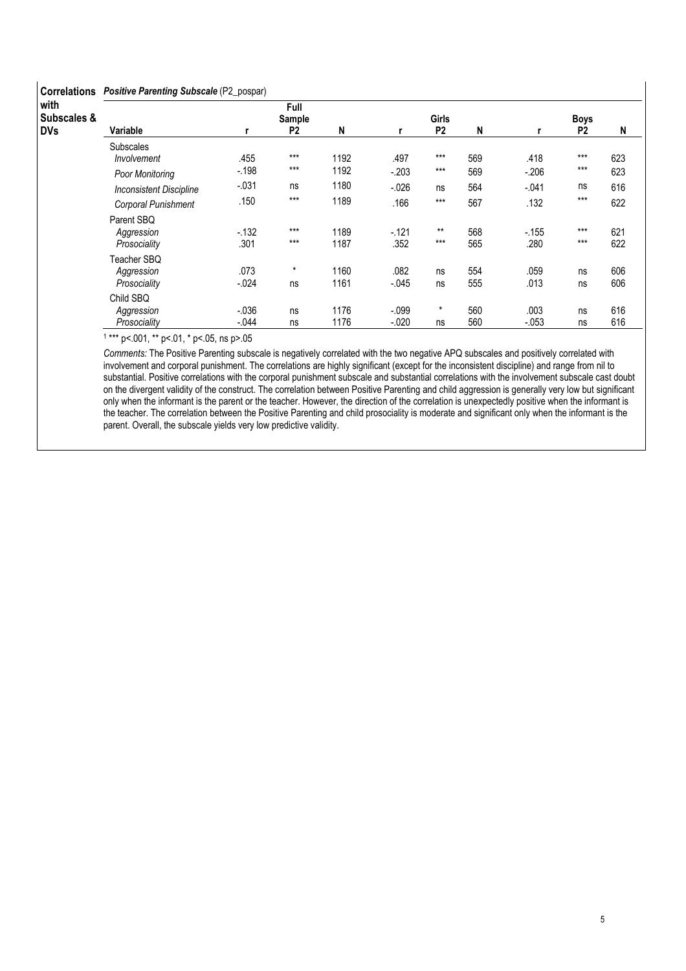### Correlations Positive Parenting Subscale (P2\_pospar)

| <b>UUILGIALIUIS</b> | r <b>Contre Parenting Capscale</b> (Englanger) |         |                |      |         |                |     |         |                |     |  |  |
|---------------------|------------------------------------------------|---------|----------------|------|---------|----------------|-----|---------|----------------|-----|--|--|
| with                |                                                |         | Full           |      |         |                |     |         |                |     |  |  |
| Subscales &         |                                                | Sample  |                |      |         | <b>Girls</b>   |     |         | <b>Boys</b>    |     |  |  |
| <b>DVs</b>          | Variable                                       |         | P <sub>2</sub> | N    | r       | P <sub>2</sub> | N   |         | P <sub>2</sub> | N   |  |  |
|                     | <b>Subscales</b>                               |         |                |      |         |                |     |         |                |     |  |  |
|                     | Involvement                                    | .455    | $***$          | 1192 | .497    | $***$          | 569 | .418    | $***$          | 623 |  |  |
|                     | Poor Monitoring                                | $-198$  | $***$          | 1192 | $-.203$ | $***$          | 569 | $-.206$ | $***$          | 623 |  |  |
|                     | <b>Inconsistent Discipline</b>                 | $-.031$ | ns             | 1180 | $-.026$ | ns             | 564 | $-.041$ | ns             | 616 |  |  |
|                     | Corporal Punishment                            | .150    | $***$          | 1189 | .166    | $***$          | 567 | .132    | $***$          | 622 |  |  |
|                     | Parent SBO                                     |         |                |      |         |                |     |         |                |     |  |  |
|                     | Aggression                                     | $-132$  | $***$          | 1189 | $-121$  | $***$          | 568 | $-155$  | $***$          | 621 |  |  |
|                     | Prosociality                                   | .301    | $***$          | 1187 | .352    | $***$          | 565 | .280    | $***$          | 622 |  |  |
|                     | Teacher SBQ                                    |         |                |      |         |                |     |         |                |     |  |  |
|                     | Aggression                                     | .073    | $^\star$       | 1160 | .082    | ns             | 554 | .059    | ns             | 606 |  |  |
|                     | Prosociality                                   | $-.024$ | ns             | 1161 | $-.045$ | ns             | 555 | .013    | ns             | 606 |  |  |
|                     | Child SBQ                                      |         |                |      |         |                |     |         |                |     |  |  |
|                     | Aggression                                     | $-.036$ | ns             | 1176 | $-.099$ | $\star$        | 560 | .003    | ns             | 616 |  |  |
|                     | Prosociality                                   | $-.044$ | ns             | 1176 | $-.020$ | ns             | 560 | $-.053$ | ns             | 616 |  |  |

1 \*\*\* p<.001, \*\* p<.01, \* p<.05, ns p>.05

Comments: The Positive Parenting subscale is negatively correlated with the two negative APQ subscales and positively correlated with involvement and corporal punishment. The correlations are highly significant (except for the inconsistent discipline) and range from nil to substantial. Positive correlations with the corporal punishment subscale and substantial correlations with the involvement subscale cast doubt on the divergent validity of the construct. The correlation between Positive Parenting and child aggression is generally very low but significant only when the informant is the parent or the teacher. However, the direction of the correlation is unexpectedly positive when the informant is the teacher. The correlation between the Positive Parenting and child prosociality is moderate and significant only when the informant is the parent. Overall, the subscale yields very low predictive validity.

 $\overline{\phantom{a}}$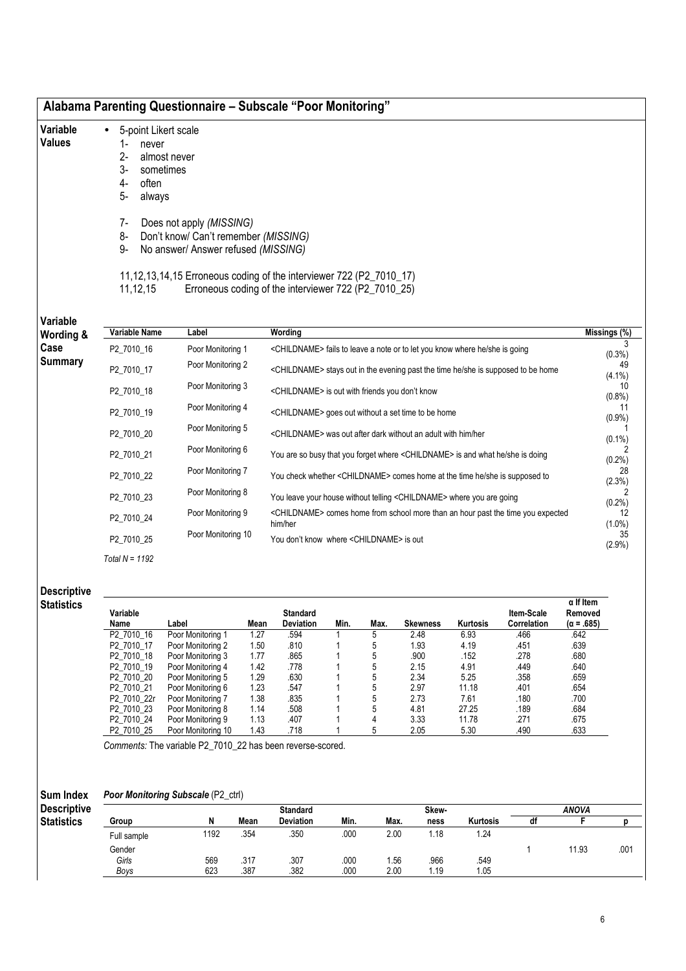- Variable • 5-point Likert scale
- Values
- 1- never<br>2- almos
- 2- almost never<br>3- sometimes 3- sometimes
- often
- 5- always
- 
- 7- Does not apply (MISSING)
- 8- Don't know/ Can't remember (MISSING)
- 9- No answer/ Answer refused (MISSING)

11,12,13,14,15 Erroneous coding of the interviewer 722 (P2\_7010\_17)<br>11,12,15 Erroneous coding of the interviewer 722 (P2\_7010\_25)

Erroneous coding of the interviewer  $722$  (P2\_7010\_25)

| <b>VULIUDIU</b><br>Wording & | Variable Name    | Label              | Wording                                                                                                 | $\overline{\mathsf{Missings}}$ (%) |
|------------------------------|------------------|--------------------|---------------------------------------------------------------------------------------------------------|------------------------------------|
| Case                         | P2 7010 16       | Poor Monitoring 1  | <childname> fails to leave a note or to let you know where he/she is going</childname>                  | $(0.3\%)$                          |
| <b>Summary</b>               | P2 7010 17       | Poor Monitoring 2  | <childname> stays out in the evening past the time he/she is supposed to be home</childname>            | 49<br>$(4.1\%)$                    |
|                              | P2 7010 18       | Poor Monitoring 3  | <childname> is out with friends you don't know</childname>                                              | 10<br>(0.8%                        |
|                              | P2 7010 19       | Poor Monitoring 4  | <childname> goes out without a set time to be home</childname>                                          | $(0.9\%)$                          |
|                              | P2 7010 20       | Poor Monitoring 5  | <childname> was out after dark without an adult with him/her</childname>                                | $(0.1\%)$                          |
|                              | P2 7010 21       | Poor Monitoring 6  | You are so busy that you forget where <childname> is and what he/she is doing</childname>               | $(0.2\%)$                          |
|                              | P2 7010 22       | Poor Monitoring 7  | You check whether <childname> comes home at the time he/she is supposed to</childname>                  | 28<br>(2.3%)                       |
|                              | P2 7010 23       | Poor Monitoring 8  | You leave your house without telling <childname> where you are going</childname>                        | (0.2%)                             |
|                              | P2 7010 24       | Poor Monitoring 9  | <childname> comes home from school more than an hour past the time you expected<br/>him/her</childname> | 12<br>$(1.0\%)$                    |
|                              | P2 7010 25       | Poor Monitoring 10 | You don't know where <childname> is out</childname>                                                     | 35<br>$(2.9\%)$                    |
|                              | Total $N = 1192$ |                    |                                                                                                         |                                    |

### **Descriptive Statistics**

| Variable<br>Name       | Label              | Mean | <b>Standard</b><br><b>Deviation</b> | Min. | Max. | <b>Skewness</b> | Kurtosis | Item-Scale<br>Correlation | $\alpha$ If Item<br>Removed<br>$(\alpha = .685)$ |
|------------------------|--------------------|------|-------------------------------------|------|------|-----------------|----------|---------------------------|--------------------------------------------------|
| P <sub>2</sub> 7010 16 | Poor Monitoring 1  | 1.27 | .594                                |      | 5    | 2.48            | 6.93     | .466                      | .642                                             |
| P2 7010 17             | Poor Monitoring 2  | 1.50 | .810                                |      | 5    | 1.93            | 4.19     | .451                      | .639                                             |
| P2 7010 18             | Poor Monitoring 3  | 1.77 | .865                                |      | 5    | .900            | .152     | .278                      | .680                                             |
| P2 7010 19             | Poor Monitoring 4  | 1.42 | .778                                |      | 5    | 2.15            | 4.91     | .449                      | .640                                             |
| P2 7010 20             | Poor Monitoring 5  | 1.29 | .630                                |      | 5    | 2.34            | 5.25     | .358                      | .659                                             |
| P <sub>2</sub> 7010 21 | Poor Monitoring 6  | 1.23 | .547                                |      | 5    | 2.97            | 11.18    | .401                      | .654                                             |
| P2 7010 22r            | Poor Monitoring 7  | 1.38 | .835                                |      | 5    | 2.73            | 7.61     | .180                      | .700                                             |
| P2 7010 23             | Poor Monitoring 8  | 1.14 | .508                                |      | 5    | 4.81            | 27.25    | .189                      | .684                                             |
| P2 7010 24             | Poor Monitoring 9  | 1.13 | .407                                |      | 4    | 3.33            | 11.78    | .271                      | .675                                             |
| P2 7010 25             | Poor Monitoring 10 | 1.43 | .718                                |      | 5    | 2.05            | 5.30     | .490                      | .633                                             |

Comments: The variable P2\_7010\_22 has been reverse-scored.

#### Sum Index Poor Monitoring Subscale (P2\_ctrl)

| <b>Descriptive</b> |             |      |      | <b>Standard</b>  |      |      | Skew- |                 |    | ANOVA |      |
|--------------------|-------------|------|------|------------------|------|------|-------|-----------------|----|-------|------|
| <b>Statistics</b>  | Group       |      | Mean | <b>Deviation</b> | Min. | Max. | ness  | <b>Kurtosis</b> | aı |       |      |
|                    | Full sample | 1192 | .354 | .350             | .000 | 2.00 | 18، ، | 1.24            |    |       |      |
|                    | Gender      |      |      |                  |      |      |       |                 |    | 11.93 | .001 |
|                    | Girls       | 569  | .317 | .307             | .000 | l.56 | .966  | .549            |    |       |      |
|                    | Boys        | 623  | .387 | .382             | .000 | 2.00 | i.19  | 1.05            |    |       |      |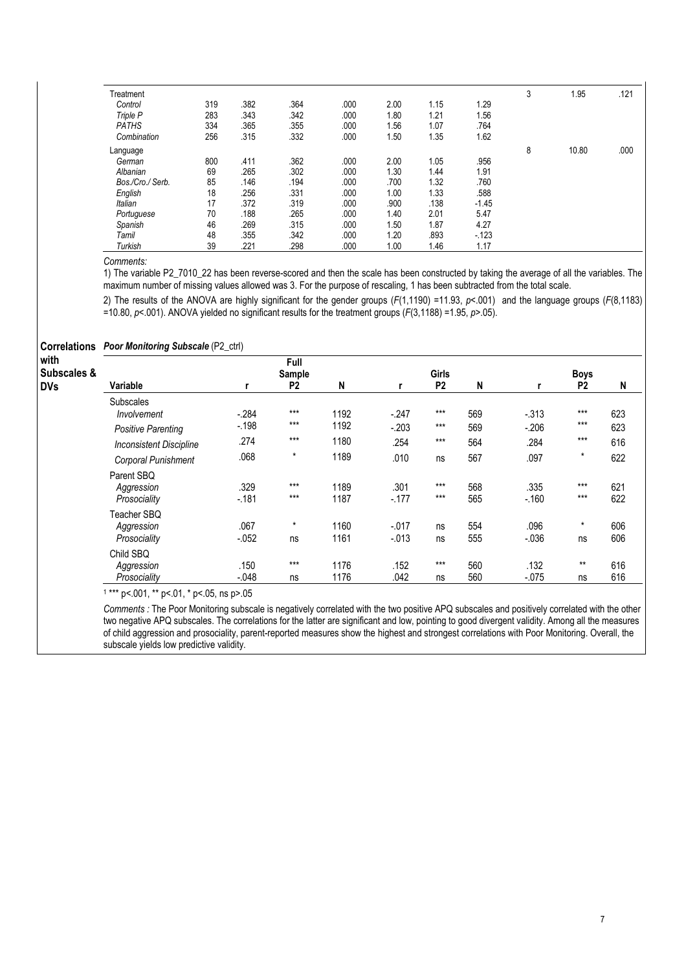| Treatment        |     |      |      |      |      |      |         | 3 | 1.95  | .121 |
|------------------|-----|------|------|------|------|------|---------|---|-------|------|
| Control          | 319 | .382 | .364 | .000 | 2.00 | 1.15 | 1.29    |   |       |      |
| Triple P         | 283 | .343 | .342 | .000 | 1.80 | 1.21 | 1.56    |   |       |      |
| <b>PATHS</b>     | 334 | .365 | .355 | .000 | 1.56 | 1.07 | .764    |   |       |      |
| Combination      | 256 | .315 | .332 | .000 | 1.50 | 1.35 | 1.62    |   |       |      |
| Language         |     |      |      |      |      |      |         | 8 | 10.80 | .000 |
| German           | 800 | .411 | .362 | .000 | 2.00 | 1.05 | .956    |   |       |      |
| Albanian         | 69  | .265 | .302 | .000 | 1.30 | 1.44 | 1.91    |   |       |      |
| Bos./Cro./ Serb. | 85  | .146 | .194 | .000 | .700 | 1.32 | .760    |   |       |      |
| English          | 18  | .256 | .331 | .000 | 1.00 | 1.33 | .588    |   |       |      |
| Italian          | 17  | .372 | .319 | .000 | .900 | .138 | $-1.45$ |   |       |      |
| Portuguese       | 70  | .188 | .265 | .000 | 1.40 | 2.01 | 5.47    |   |       |      |
| Spanish          | 46  | .269 | .315 | .000 | 1.50 | 1.87 | 4.27    |   |       |      |
| Tamil            | 48  | .355 | .342 | .000 | 1.20 | .893 | $-123$  |   |       |      |
| Turkish          | 39  | .221 | .298 | .000 | 1.00 | 1.46 | 1.17    |   |       |      |

### Comments:

1) The variable P2\_7010\_22 has been reverse-scored and then the scale has been constructed by taking the average of all the variables. The maximum number of missing values allowed was 3. For the purpose of rescaling, 1 has been subtracted from the total scale.

2) The results of the ANOVA are highly significant for the gender groups  $(F(1,1190) = 11.93, p < 0.001)$  and the language groups  $(F(8,1183)$  $=10.80, p<.001$ ). ANOVA yielded no significant results for the treatment groups ( $F(3,1188) = 1.95, p>0.6$ ).

| <b>Correlations</b>               | <b>Poor Monitoring Subscale (P2_ctrl)</b>                   |                  |                                  |              |                    |                                |            |                 |                               |            |
|-----------------------------------|-------------------------------------------------------------|------------------|----------------------------------|--------------|--------------------|--------------------------------|------------|-----------------|-------------------------------|------------|
| with<br>Subscales &<br><b>DVs</b> | Variable                                                    |                  | Full<br>Sample<br>P <sub>2</sub> | N            |                    | <b>Girls</b><br>P <sub>2</sub> | N          |                 | <b>Boys</b><br>P <sub>2</sub> | N          |
|                                   | <b>Subscales</b><br>Involvement                             | $-284$           | $***$<br>$***$                   | 1192<br>1192 | $-.247$            | $***$<br>$***$                 | 569        | $-.313$         | $***$<br>$***$                | 623        |
|                                   | <b>Positive Parenting</b><br><b>Inconsistent Discipline</b> | $-198$<br>.274   | $***$<br>$\star$                 | 1180         | $-203$<br>.254     | $***$                          | 569<br>564 | $-.206$<br>.284 | $***$<br>$\star$              | 623<br>616 |
|                                   | Corporal Punishment<br>Parent SBQ                           | .068             |                                  | 1189         | .010               | ns                             | 567        | .097            |                               | 622        |
|                                   | Aggression<br>Prosociality                                  | .329<br>$-181$   | $***$<br>$***$                   | 1189<br>1187 | .301<br>$-177$     | $***$<br>$***$                 | 568<br>565 | .335<br>$-160$  | $***$<br>$***$                | 621<br>622 |
|                                   | Teacher SBQ<br>Aggression<br>Prosociality                   | .067<br>$-0.052$ | $\star$<br>ns                    | 1160<br>1161 | $-017$<br>$-0.013$ | ns<br>ns                       | 554<br>555 | .096<br>$-.036$ | $^\star$<br>ns                | 606<br>606 |
|                                   | Child SBQ<br>Aggression                                     | .150             | $***$                            | 1176         | .152               | $***$                          | 560        | .132            | $***$                         | 616        |
|                                   | Prosociality                                                | $-.048$          | ns                               | 1176         | .042               | ns                             | 560        | $-0.075$        | ns                            | 616        |

1 \*\*\* p<.001, \*\* p<.01, \* p<.05, ns p>.05

Comments : The Poor Monitoring subscale is negatively correlated with the two positive APQ subscales and positively correlated with the other two negative APQ subscales. The correlations for the latter are significant and low, pointing to good divergent validity. Among all the measures of child aggression and prosociality, parent-reported measures show the highest and strongest correlations with Poor Monitoring. Overall, the subscale yields low predictive validity.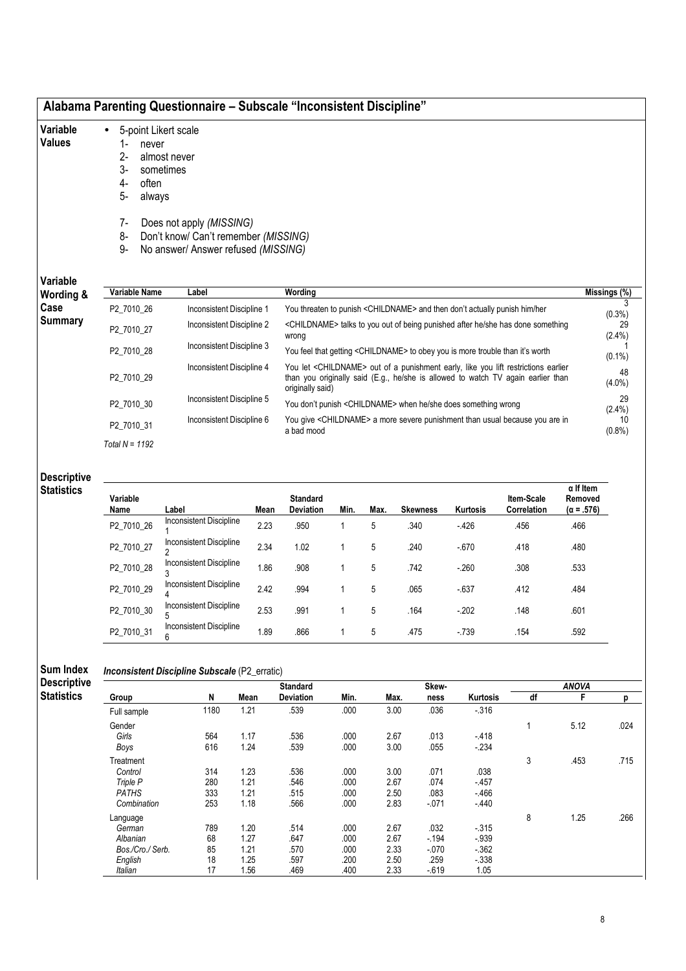| Alabama Parenting Questionnaire – Subscale "Inconsistent Discipline" |  |  |  |  |
|----------------------------------------------------------------------|--|--|--|--|
|----------------------------------------------------------------------|--|--|--|--|

#### Variable • 5-point Likert scale

- Values
- 1- never
	- 2- almost never 3- sometimes
	- 4- often
	-
	- 5- always
	- 7- Does not apply (MISSING)
	- 8- Don't know/ Can't remember (MISSING)
	- 9- No answer/ Answer refused (MISSING)

# Variable

| Variable<br>Wording & | Variable Name    | Label                     | Wordina                                                                                                                                                                                                 | $\overline{\mathsf{Missings}}$ (%) |
|-----------------------|------------------|---------------------------|---------------------------------------------------------------------------------------------------------------------------------------------------------------------------------------------------------|------------------------------------|
| Case                  | P2 7010 26       | Inconsistent Discipline 1 | You threaten to punish <childname> and then don't actually punish him/her</childname>                                                                                                                   | $(0.3\%)$                          |
| <b>Summary</b>        | P2 7010 27       | Inconsistent Discipline 2 | <childname> talks to you out of being punished after he/she has done something<br/>wrong</childname>                                                                                                    | 29<br>$(2.4\%)$                    |
|                       | P2 7010 28       | Inconsistent Discipline 3 | You feel that getting <childname> to obey you is more trouble than it's worth</childname>                                                                                                               | $(0.1\%)$                          |
|                       | P2 7010 29       | Inconsistent Discipline 4 | You let <childname> out of a punishment early, like you lift restrictions earlier<br/>than you originally said (E.g., he/she is allowed to watch TV again earlier than<br/>originally said)</childname> | 48<br>$(4.0\%)$                    |
|                       | P2 7010 30       | Inconsistent Discipline 5 | You don't punish <childname> when he/she does something wrong</childname>                                                                                                                               | 29<br>$(2.4\%)$                    |
|                       | P2 7010 31       | Inconsistent Discipline 6 | You give <childname> a more severe punishment than usual because you are in<br/>a bad mood</childname>                                                                                                  | 10<br>$(0.8\%)$                    |
|                       | Total $N = 1192$ |                           |                                                                                                                                                                                                         |                                    |

### Descriptiv **Statistics**

| Variable<br>Name | Label                          | Mean | <b>Standard</b><br><b>Deviation</b> | Min. | Max. | <b>Skewness</b> | <b>Kurtosis</b> | <b>Item-Scale</b><br>Correlation | $\alpha$ If Item<br>Removed<br>$(\alpha = .576)$ |
|------------------|--------------------------------|------|-------------------------------------|------|------|-----------------|-----------------|----------------------------------|--------------------------------------------------|
| P2_7010_26       | Inconsistent Discipline        | 2.23 | .950                                |      | 5    | .340            | $-426$          | .456                             | .466                                             |
| P2_7010_27       | <b>Inconsistent Discipline</b> | 2.34 | 1.02                                |      | 5    | .240            | $-670$          | .418                             | .480                                             |
| P2_7010_28       | Inconsistent Discipline        | 1.86 | .908                                |      | 5    | .742            | $-260$          | .308                             | .533                                             |
| P2_7010_29       | Inconsistent Discipline<br>4   | 2.42 | .994                                |      | 5    | .065            | $-637$          | .412                             | .484                                             |
| P2 7010 30       | Inconsistent Discipline        | 2.53 | .991                                |      | 5    | .164            | $-202$          | .148                             | .601                                             |
| P2 7010 31       | Inconsistent Discipline<br>6   | 1.89 | .866                                |      | 5    | .475            | $-739$          | .154                             | .592                                             |

### Sum Index **Descriptive**

## Inconsistent Discipline Subscale (P2\_erratic)

| scriptive |                  |      |      | <b>Standard</b>  |      |      | Skew-    |          |    | <b>ANOVA</b> |      |
|-----------|------------------|------|------|------------------|------|------|----------|----------|----|--------------|------|
| atistics  | Group            | N    | Mean | <b>Deviation</b> | Min. | Max. | ness     | Kurtosis | df |              |      |
|           | Full sample      | 1180 | 1.21 | .539             | .000 | 3.00 | .036     | $-316$   |    |              |      |
|           | Gender           |      |      |                  |      |      |          |          |    | 5.12         | .024 |
|           | Girls            | 564  | 1.17 | .536             | .000 | 2.67 | .013     | $-418$   |    |              |      |
|           | Boys             | 616  | 1.24 | .539             | .000 | 3.00 | .055     | $-234$   |    |              |      |
|           | Treatment        |      |      |                  |      |      |          |          | 3  | .453         | .715 |
|           | Control          | 314  | 1.23 | .536             | .000 | 3.00 | .071     | .038     |    |              |      |
|           | Triple P         | 280  | 1.21 | .546             | .000 | 2.67 | .074     | $-457$   |    |              |      |
|           | <b>PATHS</b>     | 333  | 1.21 | .515             | .000 | 2.50 | .083     | $-466$   |    |              |      |
|           | Combination      | 253  | 1.18 | .566             | .000 | 2.83 | $-071$   | $-440$   |    |              |      |
|           | Language         |      |      |                  |      |      |          |          | 8  | 1.25         | .266 |
|           | German           | 789  | 1.20 | .514             | .000 | 2.67 | .032     | $-315$   |    |              |      |
|           | Albanian         | 68   | 1.27 | .647             | .000 | 2.67 | $-194$   | $-939$   |    |              |      |
|           | Bos./Cro./ Serb. | 85   | 1.21 | .570             | .000 | 2.33 | $-0.070$ | $-362$   |    |              |      |
|           | English          | 18   | 1.25 | .597             | .200 | 2.50 | .259     | $-338$   |    |              |      |
|           | Italian          | 17   | 1.56 | .469             | .400 | 2.33 | $-619$   | 1.05     |    |              |      |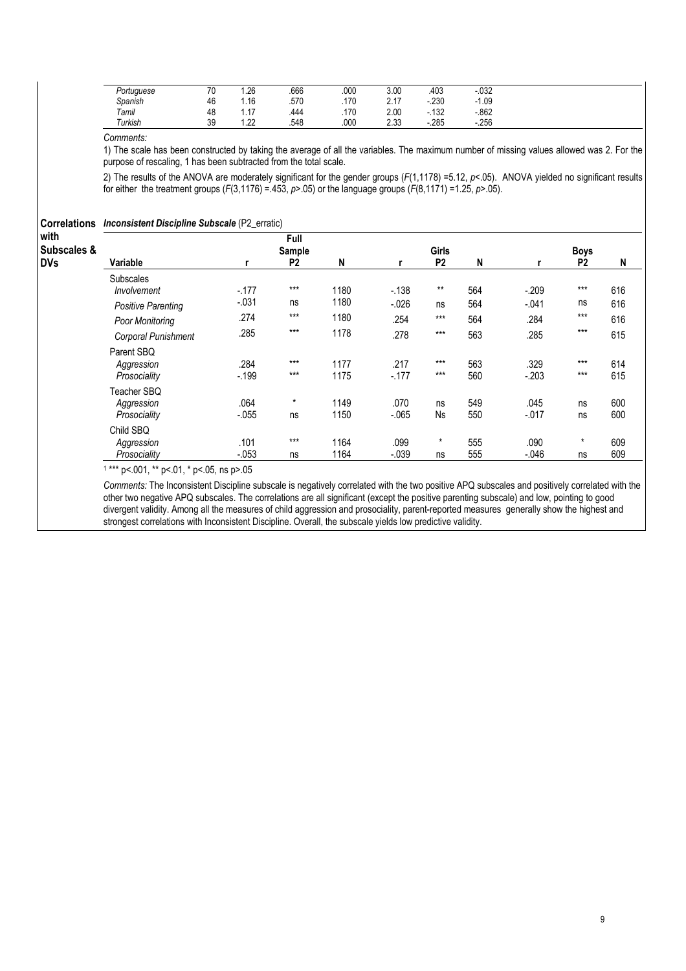| Portuguese | 70<br>. v | $\sim$<br>.Zb                | .666 | .000 | ∩∩ כי<br>J.UU    | 403              | nao<br>.ujz |
|------------|-----------|------------------------------|------|------|------------------|------------------|-------------|
| Spanish    | 46        | . 16                         | .570 | .170 | 0.47<br><u>.</u> | חכר<br>-.zou     | 09، ا       |
| Tamil      | 48        | $\overline{\phantom{a}}$<br> | .444 | .170 | ን ስስ<br>Z.UU     | 100<br>-<br>ےں ا | .862        |
| Turkish    | 39        | $\sim$<br>                   | .548 | .000 | 0.22<br>ںں.ے     | $-285$           | .256        |

### Comments:

1) The scale has been constructed by taking the average of all the variables. The maximum number of missing values allowed was 2. For the purpose of rescaling, 1 has been subtracted from the total scale.

2) The results of the ANOVA are moderately significant for the gender groups  $(F(1,1178) = 5.12, p < 0.05)$ . ANOVA yielded no significant results for either the treatment groups (F(3,1176) = 453, p>.05) or the language groups (F(8,1171) = 1.25, p>.05).

| <b>Correlations</b><br>with | <b>Inconsistent Discipline Subscale (P2_erratic)</b> |          | Full           |      |         |                |     |         |                |     |
|-----------------------------|------------------------------------------------------|----------|----------------|------|---------|----------------|-----|---------|----------------|-----|
| Subscales &                 |                                                      |          | Sample         |      |         | <b>Girls</b>   |     |         | <b>Boys</b>    |     |
| <b>DVs</b>                  | Variable                                             |          | P <sub>2</sub> | N    |         | P <sub>2</sub> | N   |         | P <sub>2</sub> | N   |
|                             | <b>Subscales</b>                                     |          |                |      |         |                |     |         |                |     |
|                             | Involvement                                          | $-177$   | $***$          | 1180 | $-.138$ | $***$          | 564 | $-.209$ | $***$          | 616 |
|                             | <b>Positive Parenting</b>                            | $-.031$  | ns             | 1180 | $-.026$ | ns             | 564 | $-.041$ | ns             | 616 |
|                             | Poor Monitoring                                      | .274     | $***$          | 1180 | .254    | $***$          | 564 | .284    | $***$          | 616 |
|                             | Corporal Punishment                                  | .285     | $***$          | 1178 | .278    | $***$          | 563 | .285    | $***$          | 615 |
|                             | Parent SBQ                                           |          |                |      |         |                |     |         |                |     |
|                             | Aggression                                           | .284     | $***$          | 1177 | .217    | $***$          | 563 | .329    | $***$          | 614 |
|                             | Prosociality                                         | $-199$   | $***$          | 1175 | $-177$  | $***$          | 560 | $-.203$ | $***$          | 615 |
|                             | Teacher SBQ                                          |          |                |      |         |                |     |         |                |     |
|                             | Aggression                                           | .064     | $\star$        | 1149 | .070    | ns             | 549 | .045    | ns             | 600 |
|                             | Prosociality                                         | $-.055$  | ns             | 1150 | $-065$  | <b>Ns</b>      | 550 | $-.017$ | ns             | 600 |
|                             | Child SBQ                                            |          |                |      |         |                |     |         |                |     |
|                             | Aggression                                           | .101     | $***$          | 1164 | .099    | $\star$        | 555 | .090    | $\star$        | 609 |
|                             | Prosociality                                         | $-0.053$ | ns             | 1164 | $-.039$ | ns             | 555 | $-.046$ | ns             | 609 |

1 \*\*\* p<.001, \*\* p<.01, \* p<.05, ns p>.05

Comments: The Inconsistent Discipline subscale is negatively correlated with the two positive APQ subscales and positively correlated with the other two negative APQ subscales. The correlations are all significant (except the positive parenting subscale) and low, pointing to good divergent validity. Among all the measures of child aggression and prosociality, parent-reported measures generally show the highest and strongest correlations with Inconsistent Discipline. Overall, the subscale yields low predictive validity.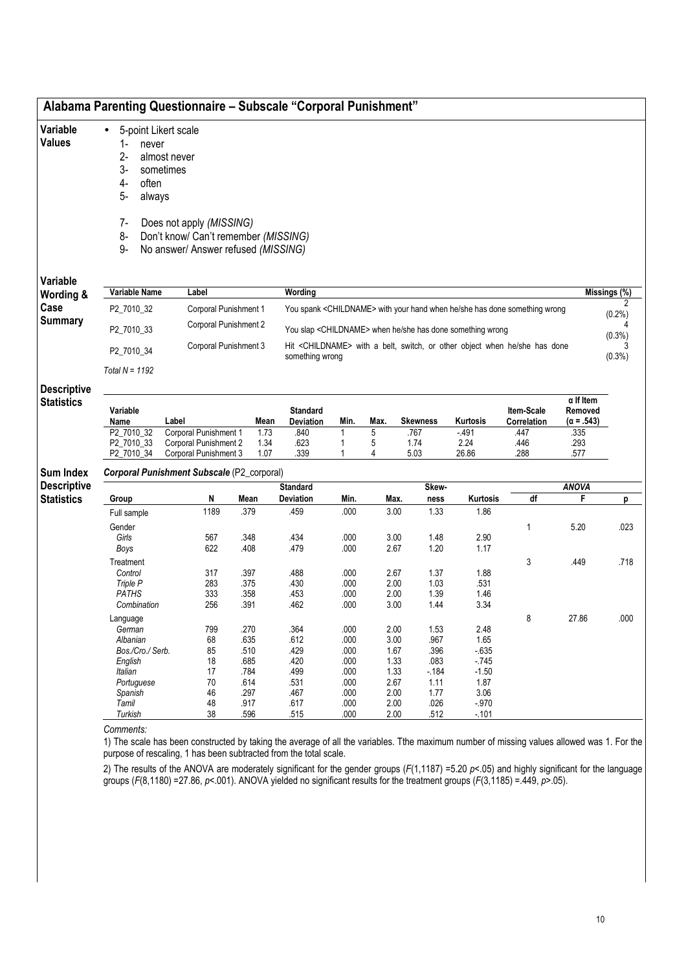| Variable<br><b>Values</b>               | 5-point Likert scale<br>$\bullet$<br>$1-$<br>never<br>$2-$<br>3-<br>sometimes<br>4-<br>often<br>5-<br>always                       | almost never                                                                                                                                                                                                    |                      |                              |              |              |                                                                                                                                                                 |                         |                           |                                                  |                        |
|-----------------------------------------|------------------------------------------------------------------------------------------------------------------------------------|-----------------------------------------------------------------------------------------------------------------------------------------------------------------------------------------------------------------|----------------------|------------------------------|--------------|--------------|-----------------------------------------------------------------------------------------------------------------------------------------------------------------|-------------------------|---------------------------|--------------------------------------------------|------------------------|
|                                         | 7-<br>8-<br>9-                                                                                                                     | Does not apply (MISSING)<br>Don't know/ Can't remember (MISSING)<br>No answer/ Answer refused (MISSING)                                                                                                         |                      |                              |              |              |                                                                                                                                                                 |                         |                           |                                                  |                        |
| Variable                                |                                                                                                                                    |                                                                                                                                                                                                                 |                      |                              |              |              |                                                                                                                                                                 |                         |                           |                                                  |                        |
| Wording &                               | Variable Name                                                                                                                      | Label                                                                                                                                                                                                           |                      | Wording                      |              |              |                                                                                                                                                                 |                         |                           |                                                  | Missings (%)           |
| Case<br>Summary                         | P2_7010_32<br>P2_7010_33                                                                                                           | Corporal Punishment 1<br>Corporal Punishment 2                                                                                                                                                                  |                      |                              |              |              | You spank <childname> with your hand when he/she has done something wrong<br/>You slap <childname> when he/she has done something wrong</childname></childname> |                         |                           |                                                  | $(0.2\%)$              |
|                                         | P2_7010_34<br>Total $N = 1192$                                                                                                     | Corporal Punishment 3                                                                                                                                                                                           |                      | something wrong              |              |              | Hit <childname> with a belt, switch, or other object when he/she has done</childname>                                                                           |                         |                           |                                                  | $(0.3\%)$<br>$(0.3\%)$ |
| <b>Descriptive</b><br><b>Statistics</b> | Variable<br>Name                                                                                                                   | Label                                                                                                                                                                                                           | Mean                 | <b>Standard</b><br>Deviation | Min.         | Max.         | <b>Skewness</b>                                                                                                                                                 | Kurtosis                | Item-Scale<br>Correlation | $\alpha$ If Item<br>Removed<br>$(\alpha = .543)$ |                        |
|                                         | P2_7010_32<br>P2 7010 33<br>P2_7010_34                                                                                             | Corporal Punishment 1<br>Corporal Punishment 2<br>Corporal Punishment 3                                                                                                                                         | 1.73<br>1.34<br>1.07 | .840<br>.623<br>.339         | 1<br>1<br>1  | 5<br>5<br>4  | .767<br>1.74<br>5.03                                                                                                                                            | $-491$<br>2.24<br>26.86 | .447<br>.446<br>.288      | .335<br>.293<br>.577                             |                        |
| <b>Sum Index</b>                        |                                                                                                                                    | Corporal Punishment Subscale (P2_corporal)                                                                                                                                                                      |                      |                              |              |              |                                                                                                                                                                 |                         |                           |                                                  |                        |
| <b>Descriptive</b>                      |                                                                                                                                    |                                                                                                                                                                                                                 |                      | <b>Standard</b>              |              |              | Skew-                                                                                                                                                           |                         |                           | <b>ANOVA</b>                                     |                        |
| <b>Statistics</b>                       | Group<br>Full sample                                                                                                               | N<br>1189                                                                                                                                                                                                       | Mean<br>.379         | <b>Deviation</b><br>.459     | Min.<br>.000 | Max.<br>3.00 | ness<br>1.33                                                                                                                                                    | Kurtosis<br>1.86        | df                        | F                                                | p                      |
|                                         | Gender                                                                                                                             |                                                                                                                                                                                                                 |                      |                              |              |              |                                                                                                                                                                 |                         | $\mathbf 1$               | 5.20                                             | .023                   |
|                                         | Girls                                                                                                                              | 567                                                                                                                                                                                                             | .348                 | .434                         | .000         |              | 3.00<br>1.48                                                                                                                                                    | 2.90                    |                           |                                                  |                        |
|                                         | Boys                                                                                                                               | 622                                                                                                                                                                                                             | .408                 | .479                         | .000         | 2.67         | 1.20                                                                                                                                                            | 1.17                    |                           |                                                  |                        |
|                                         | Treatment                                                                                                                          |                                                                                                                                                                                                                 |                      |                              |              |              |                                                                                                                                                                 |                         | 3                         | .449                                             | .718                   |
|                                         | Control<br>Triple P                                                                                                                | 317<br>283                                                                                                                                                                                                      | .397<br>.375         | .488<br>.430                 | .000<br>.000 | 2.67<br>2.00 | 1.37<br>1.03                                                                                                                                                    | 1.88<br>.531            |                           |                                                  |                        |
|                                         | <b>PATHS</b>                                                                                                                       | 333                                                                                                                                                                                                             | .358                 | .453                         | .000         | 2.00         | 1.39                                                                                                                                                            | 1.46                    |                           |                                                  |                        |
|                                         | Combination                                                                                                                        | 256                                                                                                                                                                                                             | .391                 | .462                         | .000         | 3.00         | 1.44                                                                                                                                                            | 3.34                    |                           |                                                  |                        |
|                                         | Language                                                                                                                           |                                                                                                                                                                                                                 |                      |                              |              |              |                                                                                                                                                                 |                         | 8                         | 27.86                                            | .000                   |
|                                         | German                                                                                                                             | 799                                                                                                                                                                                                             | .270                 | .364                         | .000         | 2.00         | 1.53                                                                                                                                                            | 2.48                    |                           |                                                  |                        |
|                                         | Albanian                                                                                                                           | 68                                                                                                                                                                                                              | .635                 | .612                         | .000         | 3.00         | .967                                                                                                                                                            | 1.65                    |                           |                                                  |                        |
|                                         | Bos./Cro./ Serb.                                                                                                                   | 85                                                                                                                                                                                                              | .510                 | .429                         | .000         | 1.67         | .396                                                                                                                                                            | $-635$                  |                           |                                                  |                        |
|                                         | English<br>Italian                                                                                                                 | 18<br>17                                                                                                                                                                                                        | .685<br>.784         | .420<br>.499                 | .000<br>.000 | 1.33<br>1.33 | .083<br>$-184$                                                                                                                                                  | $-745$<br>$-1.50$       |                           |                                                  |                        |
|                                         | Portuguese                                                                                                                         | 70                                                                                                                                                                                                              | .614                 | .531                         | .000         | 2.67         | 1.11                                                                                                                                                            | 1.87                    |                           |                                                  |                        |
|                                         | Spanish                                                                                                                            | 46                                                                                                                                                                                                              | .297                 | .467                         | .000         | 2.00         | 1.77                                                                                                                                                            | 3.06                    |                           |                                                  |                        |
|                                         | Tamil                                                                                                                              | 48                                                                                                                                                                                                              | .917                 | .617                         | .000         | 2.00         | .026                                                                                                                                                            | $-.970$                 |                           |                                                  |                        |
|                                         | Turkish                                                                                                                            | 38                                                                                                                                                                                                              | .596                 | .515                         | .000         | 2.00         | .512                                                                                                                                                            | $-.101$                 |                           |                                                  |                        |
|                                         | Comments:                                                                                                                          | 1) The scale has been constructed by taking the average of all the variables. Tthe maximum number of missing values allowed was 1. For the<br>purpose of rescaling, 1 has been subtracted from the total scale. |                      |                              |              |              |                                                                                                                                                                 |                         |                           |                                                  |                        |
|                                         | groups ( $F(8,1180)$ = 27.86, p<.001). ANOVA yielded no significant results for the treatment groups ( $F(3,1185)$ = .449, p>.05). | 2) The results of the ANOVA are moderately significant for the gender groups $(F(1,1187) = 5.20 \text{ pc}$ =05) and highly significant for the language                                                        |                      |                              |              |              |                                                                                                                                                                 |                         |                           |                                                  |                        |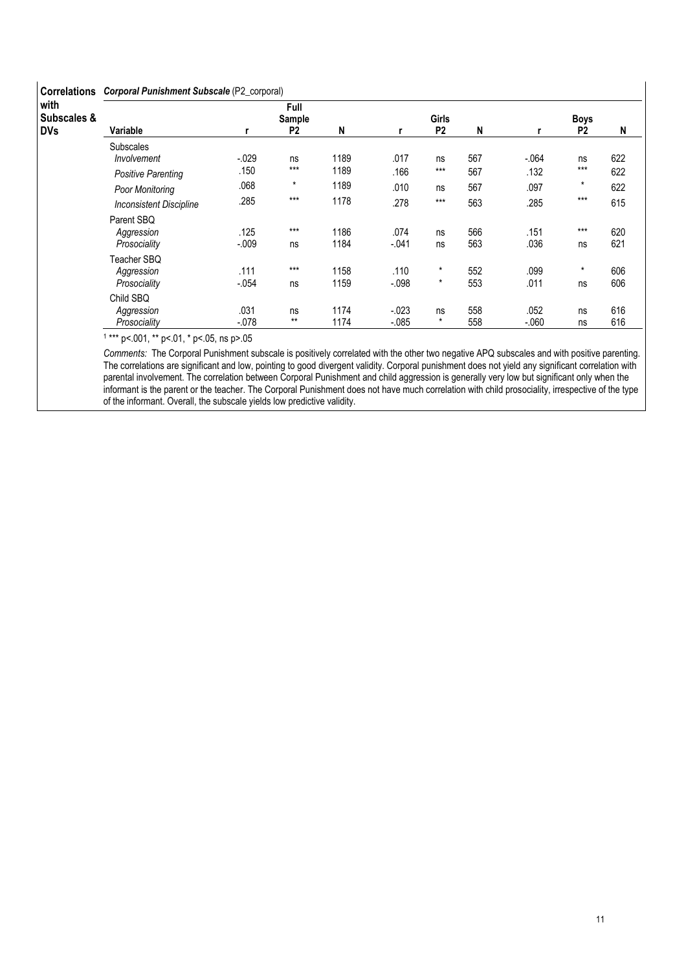| <b>Correlations</b>               | Corporal Punishment Subscale (P2_corporal)   |                  |                                  |              |                      |                           |            |                 |                               |            |
|-----------------------------------|----------------------------------------------|------------------|----------------------------------|--------------|----------------------|---------------------------|------------|-----------------|-------------------------------|------------|
| with<br>Subscales &<br><b>DVs</b> | Variable                                     |                  | Full<br>Sample<br>P <sub>2</sub> | N            |                      | <b>Girls</b><br><b>P2</b> | N          |                 | <b>Boys</b><br>P <sub>2</sub> | N          |
|                                   | <b>Subscales</b><br>Involvement              | $-.029$          | ns<br>$***$                      | 1189         | .017                 | ns                        | 567        | $-.064$         | ns<br>$***$                   | 622        |
|                                   | <b>Positive Parenting</b><br>Poor Monitoring | .150<br>.068     | $\star$                          | 1189<br>1189 | .166<br>.010         | $***$<br>ns               | 567<br>567 | .132<br>.097    | $\star$                       | 622<br>622 |
|                                   | <b>Inconsistent Discipline</b><br>Parent SBQ | .285             | $***$                            | 1178         | .278                 | $***$                     | 563        | .285            | $***$                         | 615        |
|                                   | Aggression<br>Prosociality                   | .125<br>$-0.009$ | $***$<br>ns                      | 1186<br>1184 | .074<br>$-.041$      | ns<br>ns                  | 566<br>563 | .151<br>.036    | $***$<br>ns                   | 620<br>621 |
|                                   | Teacher SBQ<br>Aggression                    | .111             | $***$                            | 1158         | .110                 | $\star$                   | 552        | .099            | $\star$                       | 606        |
|                                   | Prosociality<br>Child SBQ                    | $-054$           | ns                               | 1159         | $-0.098$             | $\star$                   | 553        | .011            | ns                            | 606        |
|                                   | Aggression<br>Prosociality                   | .031<br>$-078$   | ns<br>$***$                      | 1174<br>1174 | $-0.023$<br>$-0.085$ | ns<br>$\star$             | 558<br>558 | .052<br>$-.060$ | ns<br>ns                      | 616<br>616 |

1 \*\*\* p<.001, \*\* p<.01, \* p<.05, ns p>.05

Comments: The Corporal Punishment subscale is positively correlated with the other two negative APQ subscales and with positive parenting. The correlations are significant and low, pointing to good divergent validity. Corporal punishment does not yield any significant correlation with parental involvement. The correlation between Corporal Punishment and child aggression is generally very low but significant only when the informant is the parent or the teacher. The Corporal Punishment does not have much correlation with child prosociality, irrespective of the type of the informant. Overall, the subscale yields low predictive validity.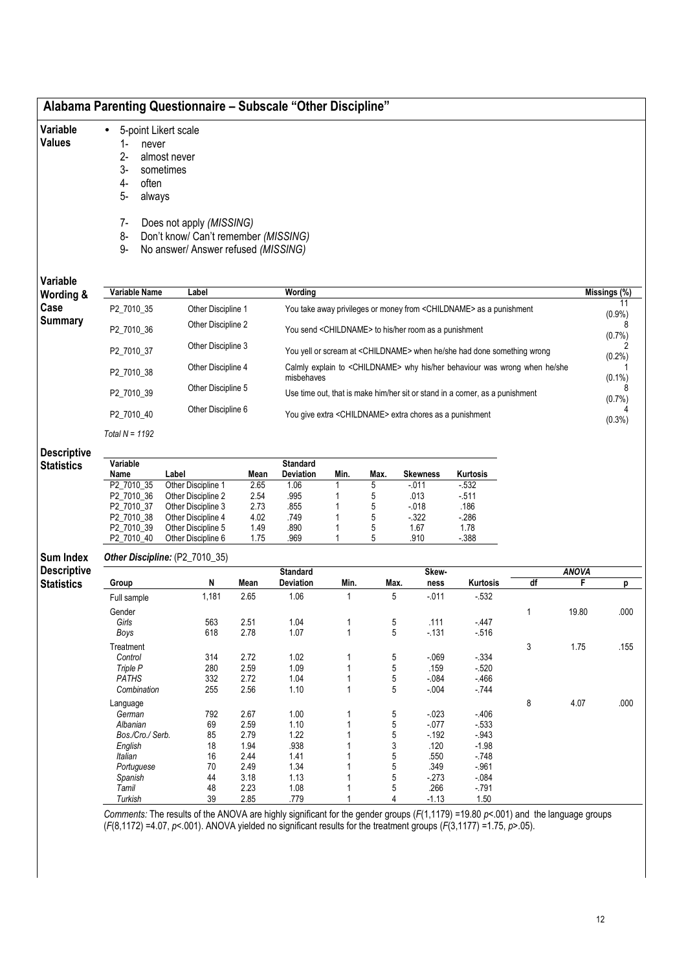| Variable           | 5-point Likert scale<br>$\bullet$ |                                      |              |                  |        |      |                                                                     |                                                                                       |              |              |              |
|--------------------|-----------------------------------|--------------------------------------|--------------|------------------|--------|------|---------------------------------------------------------------------|---------------------------------------------------------------------------------------|--------------|--------------|--------------|
| <b>Values</b>      |                                   |                                      |              |                  |        |      |                                                                     |                                                                                       |              |              |              |
|                    | $1 -$<br>never                    |                                      |              |                  |        |      |                                                                     |                                                                                       |              |              |              |
|                    | $2-$                              | almost never                         |              |                  |        |      |                                                                     |                                                                                       |              |              |              |
|                    | $3-$                              | sometimes                            |              |                  |        |      |                                                                     |                                                                                       |              |              |              |
|                    | 4-<br>often                       |                                      |              |                  |        |      |                                                                     |                                                                                       |              |              |              |
|                    | $5-$<br>always                    |                                      |              |                  |        |      |                                                                     |                                                                                       |              |              |              |
|                    | 7-                                | Does not apply (MISSING)             |              |                  |        |      |                                                                     |                                                                                       |              |              |              |
|                    | 8-                                | Don't know/ Can't remember (MISSING) |              |                  |        |      |                                                                     |                                                                                       |              |              |              |
|                    | $9-$                              | No answer/ Answer refused (MISSING)  |              |                  |        |      |                                                                     |                                                                                       |              |              |              |
|                    |                                   |                                      |              |                  |        |      |                                                                     |                                                                                       |              |              |              |
|                    |                                   |                                      |              |                  |        |      |                                                                     |                                                                                       |              |              |              |
| Variable           | <b>Variable Name</b>              | Label                                |              | Wording          |        |      |                                                                     |                                                                                       |              |              | Missings (%) |
| Wording &          |                                   |                                      |              |                  |        |      |                                                                     |                                                                                       |              |              | 11           |
| Case               | P2_7010_35                        | Other Discipline 1                   |              |                  |        |      |                                                                     | You take away privileges or money from <childname> as a punishment</childname>        |              |              | $(0.9\%)$    |
| <b>Summary</b>     |                                   | Other Discipline 2                   |              |                  |        |      |                                                                     |                                                                                       |              |              | 8            |
|                    | P2_7010_36                        |                                      |              |                  |        |      | You send <childname> to his/her room as a punishment</childname>    |                                                                                       |              |              | (0.7%        |
|                    | P2_7010_37                        | Other Discipline 3                   |              |                  |        |      |                                                                     | You yell or scream at <childname> when he/she had done something wrong</childname>    |              |              |              |
|                    |                                   |                                      |              |                  |        |      |                                                                     |                                                                                       |              |              | $(0.2\%)$    |
|                    | P2_7010_38                        | Other Discipline 4                   |              |                  |        |      |                                                                     | Calmly explain to <childname> why his/her behaviour was wrong when he/she</childname> |              |              |              |
|                    |                                   |                                      |              | misbehaves       |        |      |                                                                     |                                                                                       |              |              | $(0.1\%)$    |
|                    | P2_7010_39                        | Other Discipline 5                   |              |                  |        |      |                                                                     | Use time out, that is make him/her sit or stand in a corner, as a punishment          |              |              | 8<br>(0.7%   |
|                    |                                   | Other Discipline 6                   |              |                  |        |      |                                                                     |                                                                                       |              |              |              |
|                    | P2_7010_40                        |                                      |              |                  |        |      | You give extra <childname> extra chores as a punishment</childname> |                                                                                       |              |              | $(0.3\%)$    |
|                    | Total $N = 1192$                  |                                      |              |                  |        |      |                                                                     |                                                                                       |              |              |              |
|                    |                                   |                                      |              |                  |        |      |                                                                     |                                                                                       |              |              |              |
| <b>Descriptive</b> |                                   |                                      |              |                  |        |      |                                                                     |                                                                                       |              |              |              |
| <b>Statistics</b>  | Variable                          |                                      |              | <b>Standard</b>  |        |      |                                                                     |                                                                                       |              |              |              |
|                    | Name                              | Label                                | Mean         | <b>Deviation</b> | Min.   | Max. | <b>Skewness</b>                                                     | Kurtosis                                                                              |              |              |              |
|                    | P2_7010_35                        | Other Discipline 1                   | 2.65         | 1.06             |        | 5    | $-011$                                                              | $-532$                                                                                |              |              |              |
|                    | P2_7010_36                        | Other Discipline 2                   | 2.54         | .995             |        | 5    | .013                                                                | $-511$                                                                                |              |              |              |
|                    | P2 7010 37                        | Other Discipline 3                   | 2.73         | .855             |        | 5    | $-018$                                                              | .186                                                                                  |              |              |              |
|                    | P2_7010_38                        | Other Discipline 4                   | 4.02         | .749             |        | 5    | $-322$                                                              | $-286$                                                                                |              |              |              |
|                    | P2_7010_39                        | Other Discipline 5                   | 1.49         | .890             |        | 5    | 1.67                                                                | 1.78                                                                                  |              |              |              |
|                    | P2_7010_40                        | Other Discipline 6                   | 1.75         | .969             |        | 5    | .910                                                                | $-388$                                                                                |              |              |              |
| <b>Sum Index</b>   |                                   | Other Discipline: (P2_7010_35)       |              |                  |        |      |                                                                     |                                                                                       |              |              |              |
| <b>Descriptive</b> |                                   |                                      |              | <b>Standard</b>  |        |      | Skew-                                                               |                                                                                       |              | <b>ANOVA</b> |              |
| <b>Statistics</b>  | Group                             | N                                    | Mean         | Deviation        | Min.   | Max. | ness                                                                | Kurtosis                                                                              | df           | F            | p            |
|                    | Full sample                       | 1,181                                | 2.65         | 1.06             | 1      | 5    | $-0.011$                                                            | $-532$                                                                                |              |              |              |
|                    |                                   |                                      |              |                  |        |      |                                                                     |                                                                                       |              |              |              |
|                    | Gender                            |                                      |              |                  |        |      |                                                                     |                                                                                       | $\mathbf{1}$ | 19.80        | .000         |
|                    | Girls                             | 563                                  | 2.51         | 1.04             | 1      | 5    | .111                                                                | $-447$                                                                                |              |              |              |
|                    | Boys                              | 618                                  | 2.78         | 1.07             | 1      | 5    | $-131$                                                              | $-516$                                                                                |              |              |              |
|                    | Treatment                         |                                      |              |                  |        |      |                                                                     |                                                                                       | 3            | 1.75         | .155         |
|                    | Control                           | 314                                  | 2.72         | 1.02             | 1      | 5    | $-069$                                                              | $-334$                                                                                |              |              |              |
|                    | Triple P                          | 280                                  | 2.59         | 1.09             | 1      | 5    | .159                                                                | $-520$                                                                                |              |              |              |
|                    | <b>PATHS</b>                      | 332                                  | 2.72         | 1.04             | 1      | 5    | $-0.84$                                                             | $-466$                                                                                |              |              |              |
|                    | Combination                       | 255                                  | 2.56         | 1.10             | 1      | 5    | $-0.004$                                                            | $-744$                                                                                |              |              |              |
|                    | Language                          |                                      |              |                  |        |      |                                                                     |                                                                                       | 8            | 4.07         | .000         |
|                    | German                            | 792                                  | 2.67         | 1.00             | 1      | 5    | $-023$                                                              | $-406$                                                                                |              |              |              |
|                    | Albanian                          | 69                                   | 2.59         | 1.10             | 1      | 5    | $-077$                                                              | $-533$                                                                                |              |              |              |
|                    | Bos./Cro./ Serb.                  | 85                                   | 2.79         | 1.22             | 1      | 5    | $-192$                                                              | $-.943$                                                                               |              |              |              |
|                    | English                           | 18                                   | 1.94         | .938             | 1      | 3    | .120                                                                | $-1.98$                                                                               |              |              |              |
|                    | Italian                           | 16                                   | 2.44         | 1.41             | 1      | 5    | .550                                                                | $-748$                                                                                |              |              |              |
|                    | Portuguese                        | 70                                   | 2.49         | 1.34             | 1<br>1 | 5    | .349                                                                | $-.961$                                                                               |              |              |              |
|                    | Spanish<br>Tamil                  | 44                                   | 3.18<br>2.23 | 1.13             | 1      | 5    | $-273$                                                              | $-084$<br>$-791$                                                                      |              |              |              |
|                    |                                   | 48                                   |              | 1.08             |        | 5    | .266                                                                |                                                                                       |              |              |              |
|                    | Turkish                           | 39                                   | 2.85         | .779             |        | 4    | $-1.13$                                                             | 1.50                                                                                  |              |              |              |

Comments: The results of the ANOVA are highly significant for the gender groups (F(1,1179) =19.80 p<.001) and the language groups  $(F(8,1172) = 4.07, p < 001)$ . ANOVA yielded no significant results for the treatment groups  $(F(3,1177) = 1.75, p > 05)$ .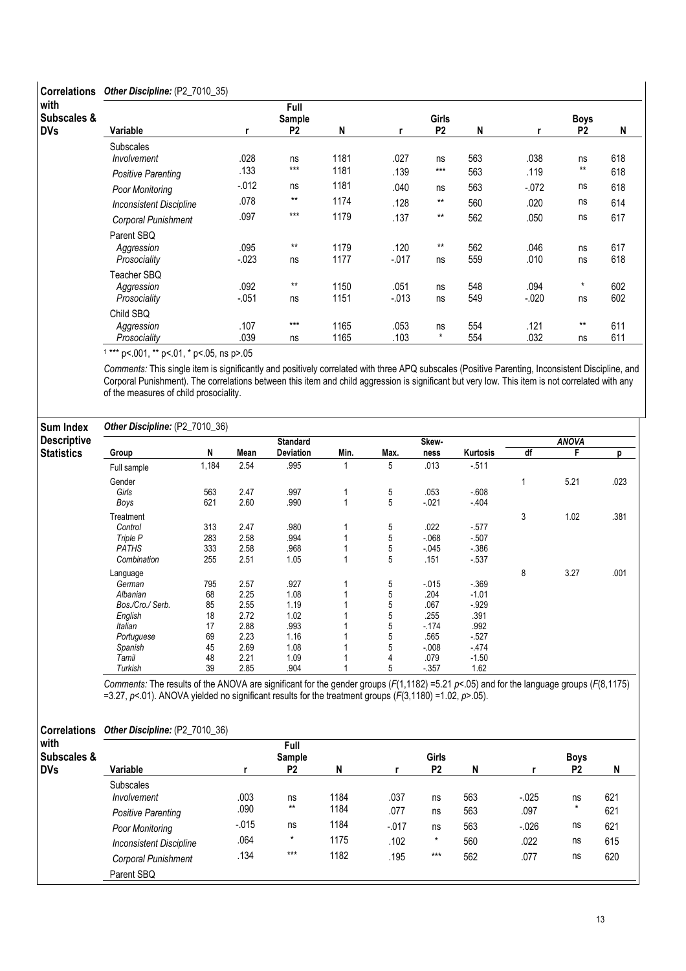## Correlations Other Discipline: (P2\_7010\_35)

| with        |                                           |                  | Full           |              |                  |                |            |                  |                |            |
|-------------|-------------------------------------------|------------------|----------------|--------------|------------------|----------------|------------|------------------|----------------|------------|
| Subscales & |                                           |                  | Sample         |              |                  | <b>Girls</b>   |            |                  | Boys           |            |
| DVs         | Variable                                  |                  | P <sub>2</sub> | N            | r                | P <sub>2</sub> | N          |                  | P <sub>2</sub> | N          |
|             | <b>Subscales</b><br>Involvement           | .028             | ns             | 1181         | .027             | ns             | 563        | .038             | ns             | 618        |
|             | <b>Positive Parenting</b>                 | .133             | $***$          | 1181         | .139             | $***$          | 563        | .119             | $***$          | 618        |
|             | Poor Monitoring                           | $-0.012$         | ns             | 1181         | .040             | ns             | 563        | $-072$           | ns             | 618        |
|             | <b>Inconsistent Discipline</b>            | .078             | $***$          | 1174         | .128             | $**$           | 560        | .020             | ns             | 614        |
|             | Corporal Punishment                       | .097             | $***$          | 1179         | .137             | $***$          | 562        | .050             | ns             | 617        |
|             | Parent SBQ<br>Aggression<br>Prosociality  | .095<br>$-0.023$ | $***$<br>ns    | 1179<br>1177 | .120<br>$-0.017$ | $***$<br>ns    | 562<br>559 | .046<br>.010     | ns<br>ns       | 617<br>618 |
|             | Teacher SBQ<br>Aggression<br>Prosociality | .092<br>$-.051$  | $***$<br>ns    | 1150<br>1151 | .051<br>$-0.013$ | ns<br>ns       | 548<br>549 | .094<br>$-0.020$ | $\star$<br>ns  | 602<br>602 |
|             | Child SBQ<br>Aggression                   | .107             | $***$          | 1165         | .053             | ns             | 554        | .121             | $***$          | 611        |
|             | Prosociality                              | .039             | ns             | 1165         | .103             | $\star$        | 554        | .032             | ns             | 611        |

1 \*\*\* p<.001, \*\* p<.01, \* p<.05, ns p>.05

Comments: This single item is significantly and positively correlated with three APQ subscales (Positive Parenting, Inconsistent Discipline, and Corporal Punishment). The correlations between this item and child aggression is significant but very low. This item is not correlated with any of the measures of child prosociality.

### Other Discipline: (P2\_7010\_36)

| <b>Sum Index</b>   | Other Discipline: (P2_7010_36) |       |      |                 |      |      |        |          |    |              |      |
|--------------------|--------------------------------|-------|------|-----------------|------|------|--------|----------|----|--------------|------|
| <b>Descriptive</b> |                                |       |      | <b>Standard</b> |      |      | Skew-  |          |    | <b>ANOVA</b> |      |
| <b>Statistics</b>  | Group                          | N     | Mean | Deviation       | Min. | Max. | ness   | Kurtosis | df | F            | р    |
|                    | Full sample                    | 1,184 | 2.54 | .995            |      | 5    | .013   | $-511$   |    |              |      |
|                    | Gender                         |       |      |                 |      |      |        |          | 1  | 5.21         | .023 |
|                    | Girls                          | 563   | 2.47 | .997            |      | 5    | .053   | $-608$   |    |              |      |
|                    | Boys                           | 621   | 2.60 | .990            |      | 5    | $-021$ | $-404$   |    |              |      |
|                    | Treatment                      |       |      |                 |      |      |        |          | 3  | 1.02         | .381 |
|                    | Control                        | 313   | 2.47 | .980            |      | 5    | .022   | $-577$   |    |              |      |
|                    | Triple P                       | 283   | 2.58 | .994            |      | 5    | $-068$ | $-507$   |    |              |      |
|                    | <b>PATHS</b>                   | 333   | 2.58 | .968            |      | 5    | $-045$ | $-386$   |    |              |      |
|                    | Combination                    | 255   | 2.51 | 1.05            |      | 5    | .151   | $-537$   |    |              |      |
|                    | Language                       |       |      |                 |      |      |        |          | 8  | 3.27         | .001 |
|                    | German                         | 795   | 2.57 | .927            |      | 5    | $-015$ | $-369$   |    |              |      |
|                    | Albanian                       | 68    | 2.25 | 1.08            |      | 5    | .204   | $-1.01$  |    |              |      |
|                    | Bos./Cro./ Serb.               | 85    | 2.55 | 1.19            |      | 5    | .067   | $-.929$  |    |              |      |
|                    | English                        | 18    | 2.72 | 1.02            |      | 5    | .255   | .391     |    |              |      |
|                    | Italian                        | 17    | 2.88 | .993            |      | 5    | - 174  | .992     |    |              |      |
|                    | Portuguese                     | 69    | 2.23 | 1.16            |      | 5    | .565   | $-527$   |    |              |      |
|                    | Spanish                        | 45    | 2.69 | 1.08            |      | 5    | $-008$ | $-474$   |    |              |      |
|                    | Tamil                          | 48    | 2.21 | 1.09            |      | 4    | .079   | $-1.50$  |    |              |      |
|                    | Turkish                        | 39    | 2.85 | .904            |      | 5    | $-357$ | 1.62     |    |              |      |

Comments: The results of the ANOVA are significant for the gender groups ( $F(1,1182)$  =5.21  $p$ <.05) and for the language groups ( $F(8,1175)$ =3.27,  $p$ <.01). ANOVA yielded no significant results for the treatment groups ( $F(3,1180)$  =1.02,  $p$ >.05).

### Correlations Other Discipline: (P2\_7010\_36)

| with        |                                |          | Full           |      |         |                |     |          |                |     |
|-------------|--------------------------------|----------|----------------|------|---------|----------------|-----|----------|----------------|-----|
| Subscales & |                                |          | Sample         |      |         | Girls          |     |          | <b>Boys</b>    |     |
| <b>DVs</b>  | Variable                       |          | P <sub>2</sub> | N    |         | P <sub>2</sub> | N   |          | P <sub>2</sub> | N   |
|             | <b>Subscales</b>               |          |                |      |         |                |     |          |                |     |
|             | Involvement                    | .003     | ns             | 1184 | .037    | ns             | 563 | $-0.025$ | ns             | 621 |
|             | Positive Parenting             | .090     | $***$          | 1184 | .077    | ns             | 563 | .097     | $\star$        | 621 |
|             | Poor Monitoring                | $-0.015$ | ns             | 1184 | $-.017$ | ns             | 563 | $-0.026$ | ns             | 621 |
|             | <b>Inconsistent Discipline</b> | .064     | $\star$        | 1175 | .102    | $\star$        | 560 | .022     | ns             | 615 |
|             | Corporal Punishment            | .134     | $***$          | 1182 | .195    | $***$          | 562 | .077     | ns             | 620 |
|             | Parent SBQ                     |          |                |      |         |                |     |          |                |     |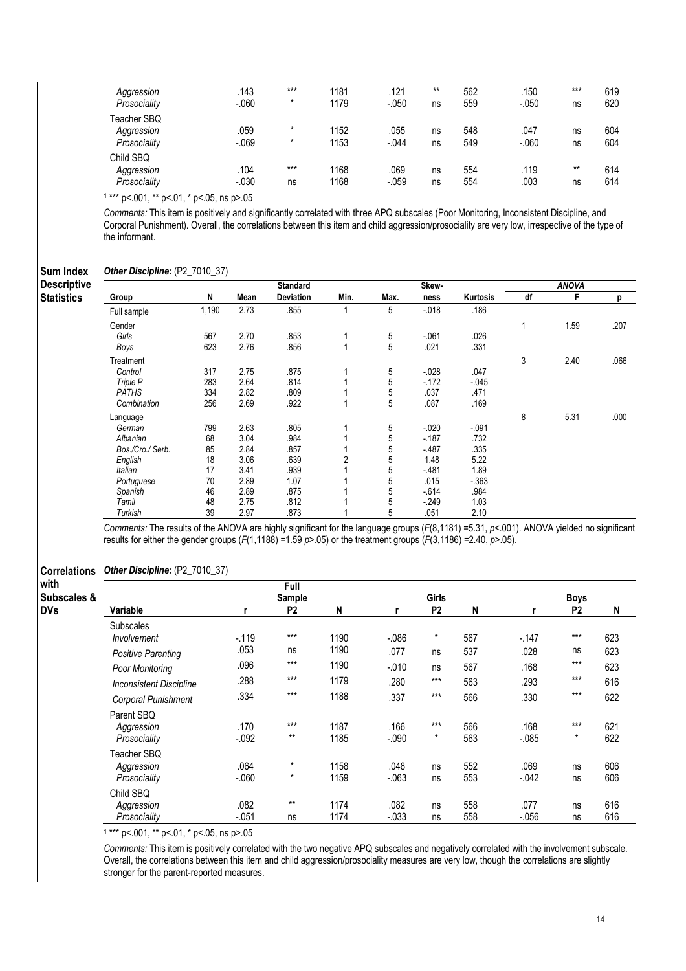| Aggression   | .143    | $***$ | 1181 | .121    | $***$ | 562 | .150    | $***$ | 619 |
|--------------|---------|-------|------|---------|-------|-----|---------|-------|-----|
| Prosociality | $-060$  | *     | 1179 | $-.050$ | ns    | 559 | $-.050$ | ns    | 620 |
| Teacher SBQ  |         |       |      |         |       |     |         |       |     |
| Aggression   | 059     | *     | 1152 | .055    | ns    | 548 | .047    | ns    | 604 |
| Prosociality | $-069$  | *     | 1153 | $-.044$ | ns    | 549 | $-060$  | ns    | 604 |
| Child SBQ    |         |       |      |         |       |     |         |       |     |
| Aggression   | .104    | $***$ | 1168 | .069    | ns    | 554 | .119    | $***$ | 614 |
| Prosociality | $-.030$ | ns    | 168  | $-.059$ | ns    | 554 | .003    | ns    | 614 |

1 \*\*\* p<.001, \*\* p<.01, \* p<.05, ns p>.05

Comments: This item is positively and significantly correlated with three APQ subscales (Poor Monitoring, Inconsistent Discipline, and Corporal Punishment). Overall, the correlations between this item and child aggression/prosociality are very low, irrespective of the type of the informant.

| <b>Sum Index</b>   | Other Discipline: (P2_7010_37) |       |      |                  |      |      |          |          |    |              |      |
|--------------------|--------------------------------|-------|------|------------------|------|------|----------|----------|----|--------------|------|
| <b>Descriptive</b> |                                |       |      | <b>Standard</b>  |      |      | Skew-    |          |    | <b>ANOVA</b> |      |
| <b>Statistics</b>  | Group                          | N     | Mean | <b>Deviation</b> | Min. | Max. | ness     | Kurtosis | df | F            | р    |
|                    | Full sample                    | 1,190 | 2.73 | .855             |      | 5    | $-018$   | .186     |    |              |      |
|                    | Gender                         |       |      |                  |      |      |          |          |    | 1.59         | .207 |
|                    | Girls                          | 567   | 2.70 | .853             |      | 5    | $-061$   | .026     |    |              |      |
|                    | Boys                           | 623   | 2.76 | .856             | 4    | 5    | .021     | .331     |    |              |      |
|                    | Treatment                      |       |      |                  |      |      |          |          | 3  | 2.40         | .066 |
|                    | Control                        | 317   | 2.75 | .875             |      | 5    | $-028$   | .047     |    |              |      |
|                    | Triple P                       | 283   | 2.64 | .814             |      | 5    | $-172$   | $-045$   |    |              |      |
|                    | <b>PATHS</b>                   | 334   | 2.82 | .809             |      | 5    | .037     | .471     |    |              |      |
|                    | Combination                    | 256   | 2.69 | .922             |      | 5    | .087     | .169     |    |              |      |
|                    | Language                       |       |      |                  |      |      |          |          | 8  | 5.31         | .000 |
|                    | German                         | 799   | 2.63 | .805             |      | 5    | $-0.020$ | $-0.91$  |    |              |      |
|                    | Albanian                       | 68    | 3.04 | .984             |      | 5    | $-187$   | .732     |    |              |      |
|                    | Bos./Cro./ Serb.               | 85    | 2.84 | .857             |      | 5    | $-487$   | .335     |    |              |      |
|                    | English                        | 18    | 3.06 | .639             | 2    | 5    | 1.48     | 5.22     |    |              |      |
|                    | Italian                        | 17    | 3.41 | .939             |      | 5    | $-481$   | 1.89     |    |              |      |
|                    | Portuguese                     | 70    | 2.89 | 1.07             |      | 5    | .015     | $-363$   |    |              |      |
|                    | Spanish                        | 46    | 2.89 | .875             |      | 5    | $-614$   | .984     |    |              |      |
|                    | Tamil                          | 48    | 2.75 | .812             |      | 5    | $-249$   | 1.03     |    |              |      |
|                    | Turkish                        | 39    | 2.97 | .873             |      | 5    | .051     | 2.10     |    |              |      |

Comments: The results of the ANOVA are highly significant for the language groups (F(8,1181) =5.31, p<.001). ANOVA yielded no significant results for either the gender groups  $(F(1,1188) = 1.59 \text{ p} > 0.05)$  or the treatment groups  $(F(3,1186) = 2.40, p > 0.05)$ .

### Correlations Other Discipline: (P2\_7010\_37)

| with<br>Subscales & |                                |         | Full<br>Sample |      |          | Girls          |     |          | <b>Boys</b>    |     |
|---------------------|--------------------------------|---------|----------------|------|----------|----------------|-----|----------|----------------|-----|
| <b>DVs</b>          | Variable                       |         | P <sub>2</sub> | N    |          | P <sub>2</sub> | N   |          | P <sub>2</sub> | N   |
|                     | <b>Subscales</b>               |         | $***$          |      |          | $^\star$       |     |          | $***$          |     |
|                     | Involvement                    | $-119$  |                | 1190 | $-0.086$ |                | 567 | $-147$   |                | 623 |
|                     | <b>Positive Parenting</b>      | .053    | ns             | 1190 | .077     | ns             | 537 | .028     | ns             | 623 |
|                     | Poor Monitoring                | .096    | $***$          | 1190 | $-0.010$ | ns             | 567 | .168     | $***$          | 623 |
|                     | <b>Inconsistent Discipline</b> | .288    | $***$          | 1179 | .280     | $***$          | 563 | .293     | $***$          | 616 |
|                     | Corporal Punishment            | .334    | $***$          | 1188 | .337     | $***$          | 566 | .330     | $***$          | 622 |
|                     | Parent SBQ                     |         |                |      |          |                |     |          |                |     |
|                     | Aggression                     | .170    | $***$          | 1187 | .166     | $***$          | 566 | .168     | $***$          | 621 |
|                     | Prosociality                   | $-.092$ | $***$          | 1185 | $-.090$  | $\star$        | 563 | $-0.085$ | $\star$        | 622 |
|                     | Teacher SBQ                    |         |                |      |          |                |     |          |                |     |
|                     | Aggression                     | .064    | $\star$        | 1158 | .048     | ns             | 552 | .069     | ns             | 606 |
|                     | Prosociality                   | $-060$  | $\star$        | 1159 | $-.063$  | ns             | 553 | $-0.042$ | ns             | 606 |
|                     | Child SBQ                      |         |                |      |          |                |     |          |                |     |
|                     | Aggression                     | .082    | $***$          | 1174 | .082     | ns             | 558 | .077     | ns             | 616 |
|                     | Prosociality                   | $-.051$ | ns             | 1174 | $-0.033$ | ns             | 558 | $-0.056$ | ns             | 616 |

1 \*\*\* p<.001, \*\* p<.01, \* p<.05, ns p>.05

Comments: This item is positively correlated with the two negative APQ subscales and negatively correlated with the involvement subscale. Overall, the correlations between this item and child aggression/prosociality measures are very low, though the correlations are slightly stronger for the parent-reported measures.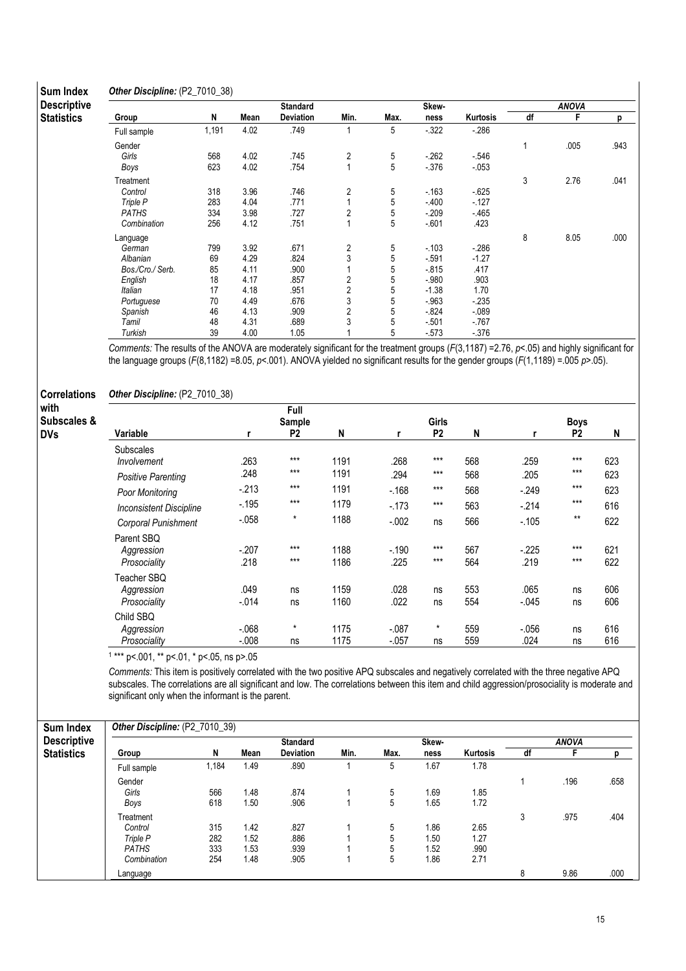#### **Sum Inde** Other Discipline: (P2\_7010\_38)

| Sum Index          | <b>Other Discipline:</b> (P2 / 010 38) |       |      |                  |                |      |          |          |    |              |      |
|--------------------|----------------------------------------|-------|------|------------------|----------------|------|----------|----------|----|--------------|------|
| <b>Descriptive</b> |                                        |       |      | <b>Standard</b>  |                |      | Skew-    |          |    | <b>ANOVA</b> |      |
| <b>Statistics</b>  | Group                                  | N     | Mean | <b>Deviation</b> | Min.           | Max. | ness     | Kurtosis | df | F            | p    |
|                    | Full sample                            | 1,191 | 4.02 | .749             |                | 5    | $-322$   | $-286$   |    |              |      |
|                    | Gender                                 |       |      |                  |                |      |          |          | 1  | .005         | .943 |
|                    | Girls                                  | 568   | 4.02 | .745             | 2              | 5    | $-262$   | $-.546$  |    |              |      |
|                    | Boys                                   | 623   | 4.02 | .754             | 4              | 5    | $-376$   | $-0.053$ |    |              |      |
|                    | Treatment                              |       |      |                  |                |      |          |          | 3  | 2.76         | .041 |
|                    | Control                                | 318   | 3.96 | .746             | 2              | 5    | $-163$   | $-625$   |    |              |      |
|                    | Triple P                               | 283   | 4.04 | .771             |                | 5    | $-400$   | $-127$   |    |              |      |
|                    | <b>PATHS</b>                           | 334   | 3.98 | .727             | 2              | 5    | $-209$   | $-465$   |    |              |      |
|                    | Combination                            | 256   | 4.12 | .751             |                | 5    | $-601$   | .423     |    |              |      |
|                    | Language                               |       |      |                  |                |      |          |          | 8  | 8.05         | .000 |
|                    | German                                 | 799   | 3.92 | .671             | 2              | 5    | $-103$   | $-286$   |    |              |      |
|                    | Albanian                               | 69    | 4.29 | .824             | 3              | 5    | $-591$   | $-1.27$  |    |              |      |
|                    | Bos./Cro./ Serb.                       | 85    | 4.11 | .900             |                | 5    | $-815$   | .417     |    |              |      |
|                    | English                                | 18    | 4.17 | .857             | 2              | 5    | $-.980$  | .903     |    |              |      |
|                    | Italian                                | 17    | 4.18 | .951             | $\overline{c}$ | 5    | $-1.38$  | 1.70     |    |              |      |
|                    | Portuguese                             | 70    | 4.49 | .676             | 3              | 5    | $-.963$  | $-235$   |    |              |      |
|                    | Spanish                                | 46    | 4.13 | .909             | 2              | 5    | $-0.824$ | $-089$   |    |              |      |
|                    | Tamil                                  | 48    | 4.31 | .689             | 3              | 5    | $-501$   | $-767$   |    |              |      |
|                    | Turkish                                | 39    | 4.00 | 1.05             |                | 5    | $-573$   | $-376$   |    |              |      |

Comments: The results of the ANOVA are moderately significant for the treatment groups  $(F(3,1187) = 2.76, p < .05)$  and highly significant for the language groups (F(8,1182) =8.05, p<.001). ANOVA yielded no significant results for the gender groups (F(1,1189) = .005 p>.05).

### Correlations with

| with<br>Subscales & |                                           |                    | Full<br>Sample |              |                     | <b>Girls</b>   |            |                  | <b>Boys</b>    |            |
|---------------------|-------------------------------------------|--------------------|----------------|--------------|---------------------|----------------|------------|------------------|----------------|------------|
| <b>DVs</b>          | Variable                                  | r                  | P <sub>2</sub> | N            | r                   | P <sub>2</sub> | N          | r                | P <sub>2</sub> | N          |
|                     | <b>Subscales</b><br>Involvement           | .263               | $***$          | 1191         | .268                | $***$          | 568        | .259             | $***$          | 623        |
|                     | Positive Parenting                        | .248               | $***$          | 1191         | .294                | $***$          | 568        | .205             | $***$          | 623        |
|                     | Poor Monitoring                           | $-213$             | $***$          | 1191         | $-168$              | $***$          | 568        | $-249$           | $***$          | 623        |
|                     | <b>Inconsistent Discipline</b>            | $-195$             | $***$          | 1179         | $-173$              | $***$          | 563        | $-214$           | $***$          | 616        |
|                     | Corporal Punishment                       | $-0.058$           | $\star$        | 1188         | $-0.002$            | ns             | 566        | $-105$           | $***$          | 622        |
|                     | Parent SBQ                                |                    |                |              |                     |                |            |                  |                |            |
|                     | Aggression                                | $-207$             | $***$          | 1188         | $-190$              | $***$          | 567        | $-225$           | $***$          | 621        |
|                     | Prosociality                              | .218               | $***$          | 1186         | .225                | $***$          | 564        | .219             | $***$          | 622        |
|                     | Teacher SBQ<br>Aggression<br>Prosociality | .049<br>$-0.014$   | ns<br>ns       | 1159<br>1160 | .028<br>.022        | ns<br>ns       | 553<br>554 | .065<br>$-0.045$ | ns<br>ns       | 606<br>606 |
|                     | Child SBQ<br>Aggression<br>Prosociality   | $-068$<br>$-0.008$ | $\star$<br>ns  | 1175<br>1175 | $-.087$<br>$-0.057$ | $\star$<br>ns  | 559<br>559 | $-0.056$<br>.024 | ns<br>ns       | 616<br>616 |

1 \*\*\* p<.001, \*\* p<.01, \* p<.05, ns p>.05

Other Discipline: (P2\_7010\_38)

Comments: This item is positively correlated with the two positive APQ subscales and negatively correlated with the three negative APQ subscales. The correlations are all significant and low. The correlations between this item and child aggression/prosociality is moderate and significant only when the informant is the parent.

| <b>Sum Index</b>   | Other Discipline: (P2_7010_39) |       |      |                  |      |      |       |                 |    |              |      |  |
|--------------------|--------------------------------|-------|------|------------------|------|------|-------|-----------------|----|--------------|------|--|
| <b>Descriptive</b> |                                |       |      | <b>Standard</b>  |      |      | Skew- |                 |    | <b>ANOVA</b> |      |  |
| <b>Statistics</b>  | Group                          | N     | Mean | <b>Deviation</b> | Min. | Max. | ness  | <b>Kurtosis</b> | df |              |      |  |
|                    | Full sample                    | 1,184 | 1.49 | .890             |      | 5    | 1.67  | 1.78            |    |              |      |  |
|                    | Gender                         |       |      |                  |      |      |       |                 |    | .196         | .658 |  |
|                    | Girls                          | 566   | 1.48 | .874             |      | 5    | 1.69  | l.85            |    |              |      |  |
|                    | Boys                           | 618   | 1.50 | .906             |      | 5    | 1.65  | 1.72            |    |              |      |  |
|                    | Treatment                      |       |      |                  |      |      |       |                 | 3  | .975         | .404 |  |
|                    | Control                        | 315   | 1.42 | .827             |      | 5    | 1.86  | 2.65            |    |              |      |  |
|                    | Triple P                       | 282   | 1.52 | .886             |      | 5    | 1.50  | 1.27            |    |              |      |  |
|                    | <b>PATHS</b>                   | 333   | 1.53 | .939             |      | 5    | 1.52  | .990            |    |              |      |  |
|                    | Combination                    | 254   | 1.48 | .905             |      | 5    | 1.86  | 2.71            |    |              |      |  |
|                    | Language                       |       |      |                  |      |      |       |                 | 8  | 9.86         | .000 |  |

 $\overline{1}$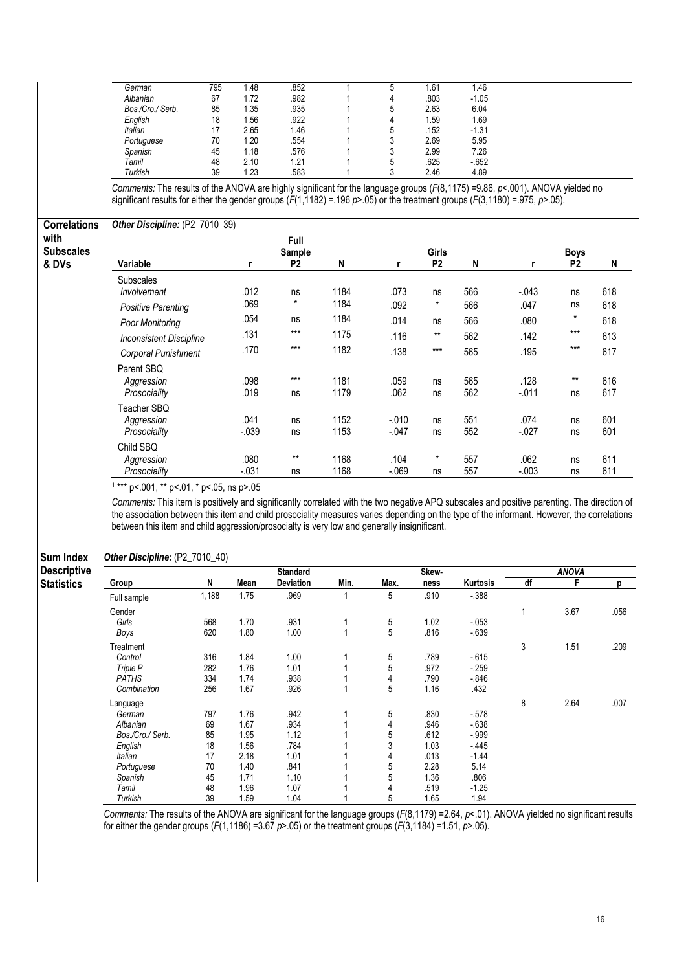|                     | German                                                                                                                                     | 795                                                                                                                                                                                                                                                                                                                                                                                                                        | 1.48         | .852            |              | 5       | 1.61           | 1.46            |         |                 |      |  |  |
|---------------------|--------------------------------------------------------------------------------------------------------------------------------------------|----------------------------------------------------------------------------------------------------------------------------------------------------------------------------------------------------------------------------------------------------------------------------------------------------------------------------------------------------------------------------------------------------------------------------|--------------|-----------------|--------------|---------|----------------|-----------------|---------|-----------------|------|--|--|
|                     | Albanian                                                                                                                                   | 67                                                                                                                                                                                                                                                                                                                                                                                                                         | 1.72         | .982            |              | 4       | .803           | $-1.05$         |         |                 |      |  |  |
|                     | Bos./Cro./ Serb.                                                                                                                           | 85                                                                                                                                                                                                                                                                                                                                                                                                                         | 1.35         | .935            |              | 5       | 2.63           | 6.04            |         |                 |      |  |  |
|                     |                                                                                                                                            |                                                                                                                                                                                                                                                                                                                                                                                                                            |              |                 |              |         |                |                 |         |                 |      |  |  |
|                     | English                                                                                                                                    | 18                                                                                                                                                                                                                                                                                                                                                                                                                         | 1.56         | .922            |              | 4       | 1.59           | 1.69            |         |                 |      |  |  |
|                     | Italian                                                                                                                                    | 17                                                                                                                                                                                                                                                                                                                                                                                                                         | 2.65         | 1.46            |              | 5       | .152           | $-1.31$         |         |                 |      |  |  |
|                     | Portuguese                                                                                                                                 | 70                                                                                                                                                                                                                                                                                                                                                                                                                         | 1.20         | .554            |              | 3       | 2.69           | 5.95            |         |                 |      |  |  |
|                     | Spanish                                                                                                                                    | 45                                                                                                                                                                                                                                                                                                                                                                                                                         | 1.18         | .576            |              | 3       | 2.99           | 7.26            |         |                 |      |  |  |
|                     | Tamil                                                                                                                                      | 48                                                                                                                                                                                                                                                                                                                                                                                                                         | 2.10         | 1.21            |              | 5       | .625           | $-652$          |         |                 |      |  |  |
|                     | Turkish                                                                                                                                    | 39                                                                                                                                                                                                                                                                                                                                                                                                                         | 1.23         | .583            |              | 3       | 2.46           | 4.89            |         |                 |      |  |  |
|                     |                                                                                                                                            |                                                                                                                                                                                                                                                                                                                                                                                                                            |              |                 |              |         |                |                 |         |                 |      |  |  |
|                     | Comments: The results of the ANOVA are highly significant for the language groups ( $F(8,1175) = 9.86$ , $p < .001$ ). ANOVA yielded no    |                                                                                                                                                                                                                                                                                                                                                                                                                            |              |                 |              |         |                |                 |         |                 |      |  |  |
|                     | significant results for either the gender groups $(F(1,1182) = .196 \text{ p}$ > 05) or the treatment groups $(F(3,1180) = .975, p$ > 05). |                                                                                                                                                                                                                                                                                                                                                                                                                            |              |                 |              |         |                |                 |         |                 |      |  |  |
| <b>Correlations</b> | Other Discipline: (P2_7010_39)                                                                                                             |                                                                                                                                                                                                                                                                                                                                                                                                                            |              |                 |              |         |                |                 |         |                 |      |  |  |
| with                |                                                                                                                                            |                                                                                                                                                                                                                                                                                                                                                                                                                            |              | Full            |              |         |                |                 |         |                 |      |  |  |
| <b>Subscales</b>    |                                                                                                                                            |                                                                                                                                                                                                                                                                                                                                                                                                                            |              | <b>Sample</b>   |              |         | Girls          |                 |         | <b>Boys</b>     |      |  |  |
| & DVs               |                                                                                                                                            |                                                                                                                                                                                                                                                                                                                                                                                                                            |              | P <sub>2</sub>  |              |         | P <sub>2</sub> |                 |         | P <sub>2</sub>  |      |  |  |
|                     | Variable                                                                                                                                   |                                                                                                                                                                                                                                                                                                                                                                                                                            | r            |                 | N            | r       |                | N               | r       |                 | N    |  |  |
|                     | Subscales                                                                                                                                  |                                                                                                                                                                                                                                                                                                                                                                                                                            |              |                 |              |         |                |                 |         |                 |      |  |  |
|                     | Involvement                                                                                                                                |                                                                                                                                                                                                                                                                                                                                                                                                                            | .012         | ns              | 1184         | .073    | ns             | 566             | $-.043$ | ns              | 618  |  |  |
|                     |                                                                                                                                            |                                                                                                                                                                                                                                                                                                                                                                                                                            |              | $\star$         |              |         |                |                 |         |                 |      |  |  |
|                     | <b>Positive Parenting</b>                                                                                                                  |                                                                                                                                                                                                                                                                                                                                                                                                                            | .069         |                 | 1184         | .092    | $\pmb{\star}$  | 566             | .047    | ns              | 618  |  |  |
|                     |                                                                                                                                            |                                                                                                                                                                                                                                                                                                                                                                                                                            | .054         | ns              | 1184         | .014    |                | 566             | .080    | $^\star$        | 618  |  |  |
|                     | Poor Monitoring                                                                                                                            |                                                                                                                                                                                                                                                                                                                                                                                                                            |              |                 |              |         | ns             |                 |         |                 |      |  |  |
|                     | <b>Inconsistent Discipline</b>                                                                                                             |                                                                                                                                                                                                                                                                                                                                                                                                                            | .131         | ***             | 1175         | .116    | **             | 562             | .142    | $***$           | 613  |  |  |
|                     |                                                                                                                                            |                                                                                                                                                                                                                                                                                                                                                                                                                            | .170         | $***$           | 1182         |         | $***$          |                 |         | $***$           |      |  |  |
|                     | Corporal Punishment                                                                                                                        |                                                                                                                                                                                                                                                                                                                                                                                                                            |              |                 |              | .138    |                | 565             | .195    |                 | 617  |  |  |
|                     |                                                                                                                                            |                                                                                                                                                                                                                                                                                                                                                                                                                            |              |                 |              |         |                |                 |         |                 |      |  |  |
|                     | Parent SBQ                                                                                                                                 |                                                                                                                                                                                                                                                                                                                                                                                                                            |              |                 |              |         |                |                 |         |                 |      |  |  |
|                     | Aggression                                                                                                                                 |                                                                                                                                                                                                                                                                                                                                                                                                                            | .098         | $***$           | 1181         | .059    | ns             | 565             | .128    | $^{\star\star}$ | 616  |  |  |
|                     | Prosociality                                                                                                                               |                                                                                                                                                                                                                                                                                                                                                                                                                            | .019         | ns              | 1179         | .062    | ns             | 562             | $-.011$ | ns              | 617  |  |  |
|                     |                                                                                                                                            |                                                                                                                                                                                                                                                                                                                                                                                                                            |              |                 |              |         |                |                 |         |                 |      |  |  |
|                     | Teacher SBQ                                                                                                                                |                                                                                                                                                                                                                                                                                                                                                                                                                            |              |                 |              |         |                |                 |         |                 |      |  |  |
|                     | Aggression                                                                                                                                 |                                                                                                                                                                                                                                                                                                                                                                                                                            | .041         | ns              | 1152         | $-.010$ | ns             | 551             | .074    | ns              | 601  |  |  |
|                     | Prosociality                                                                                                                               |                                                                                                                                                                                                                                                                                                                                                                                                                            | $-0.39$      | ns              | 1153         | $-047$  | ns             | 552             | $-027$  | ns              | 601  |  |  |
|                     |                                                                                                                                            |                                                                                                                                                                                                                                                                                                                                                                                                                            |              |                 |              |         |                |                 |         |                 |      |  |  |
|                     | Child SBQ                                                                                                                                  |                                                                                                                                                                                                                                                                                                                                                                                                                            |              |                 |              |         |                |                 |         |                 |      |  |  |
|                     | Aggression                                                                                                                                 |                                                                                                                                                                                                                                                                                                                                                                                                                            | .080         | $***$           | 1168         | .104    | $\star$        | 557             | .062    | ns              | 611  |  |  |
|                     |                                                                                                                                            |                                                                                                                                                                                                                                                                                                                                                                                                                            |              |                 |              |         |                |                 |         |                 |      |  |  |
|                     | Prosociality                                                                                                                               |                                                                                                                                                                                                                                                                                                                                                                                                                            | $-.031$      | ns              | 1168         | $-069$  | ns             | 557             | $-.003$ | ns              | 611  |  |  |
|                     | $1***$ p<.001, ** p<.01, * p<.05, ns p>.05                                                                                                 |                                                                                                                                                                                                                                                                                                                                                                                                                            |              |                 |              |         |                |                 |         |                 |      |  |  |
| Sum Index           |                                                                                                                                            | Comments: This item is positively and significantly correlated with the two negative APQ subscales and positive parenting. The direction of<br>the association between this item and child prosociality measures varies depending on the type of the informant. However, the correlations<br>between this item and child aggression/prosocialty is very low and generally insignificant.<br>Other Discipline: (P2_7010_40) |              |                 |              |         |                |                 |         |                 |      |  |  |
| <b>Descriptive</b>  |                                                                                                                                            |                                                                                                                                                                                                                                                                                                                                                                                                                            |              | <b>Standard</b> |              |         | Skew-          |                 |         | <b>ANOVA</b>    |      |  |  |
| <b>Statistics</b>   | Group                                                                                                                                      | N                                                                                                                                                                                                                                                                                                                                                                                                                          | Mean         | Deviation       | Min.         | Max.    | ness           | Kurtosis        | df      | F               | p    |  |  |
|                     |                                                                                                                                            |                                                                                                                                                                                                                                                                                                                                                                                                                            |              |                 |              |         |                |                 |         |                 |      |  |  |
|                     | Full sample                                                                                                                                | 1,188                                                                                                                                                                                                                                                                                                                                                                                                                      | 1.75         | .969            |              | 5       | .910           | $-0.388$        |         |                 |      |  |  |
|                     | Gender                                                                                                                                     |                                                                                                                                                                                                                                                                                                                                                                                                                            |              |                 |              |         |                |                 | 1       | 3.67            | .056 |  |  |
|                     | Girls                                                                                                                                      | 568                                                                                                                                                                                                                                                                                                                                                                                                                        | 1.70         | .931            |              |         | 1.02           | $-0.053$        |         |                 |      |  |  |
|                     |                                                                                                                                            |                                                                                                                                                                                                                                                                                                                                                                                                                            |              |                 | 1            | 5       |                |                 |         |                 |      |  |  |
|                     | Boys                                                                                                                                       | 620                                                                                                                                                                                                                                                                                                                                                                                                                        | 1.80         | 1.00            | $\mathbf{1}$ | 5       | .816           | $-639$          |         |                 |      |  |  |
|                     |                                                                                                                                            |                                                                                                                                                                                                                                                                                                                                                                                                                            |              |                 |              |         |                |                 |         |                 |      |  |  |
|                     |                                                                                                                                            |                                                                                                                                                                                                                                                                                                                                                                                                                            |              |                 |              |         |                |                 |         |                 |      |  |  |
|                     | Treatment                                                                                                                                  |                                                                                                                                                                                                                                                                                                                                                                                                                            |              |                 |              |         |                |                 | 3       | 1.51            | .209 |  |  |
|                     | Control                                                                                                                                    | 316                                                                                                                                                                                                                                                                                                                                                                                                                        | 1.84         | 1.00            | 1            | 5       | .789           | $-615$          |         |                 |      |  |  |
|                     | Triple P                                                                                                                                   | 282                                                                                                                                                                                                                                                                                                                                                                                                                        | 1.76         | 1.01            | 1            | 5       | .972           | $-259$          |         |                 |      |  |  |
|                     | <b>PATHS</b>                                                                                                                               | 334                                                                                                                                                                                                                                                                                                                                                                                                                        | 1.74         | .938            | 1            | 4       | .790           | $-0.846$        |         |                 |      |  |  |
|                     | Combination                                                                                                                                | 256                                                                                                                                                                                                                                                                                                                                                                                                                        | 1.67         | .926            | 1            | 5       | 1.16           | .432            |         |                 |      |  |  |
|                     |                                                                                                                                            |                                                                                                                                                                                                                                                                                                                                                                                                                            |              |                 |              |         |                |                 |         |                 |      |  |  |
|                     | Language                                                                                                                                   |                                                                                                                                                                                                                                                                                                                                                                                                                            |              |                 |              |         |                |                 | 8       | 2.64            | .007 |  |  |
|                     | German                                                                                                                                     | 797                                                                                                                                                                                                                                                                                                                                                                                                                        | 1.76         | .942            | 1            | 5       | .830           | $-578$          |         |                 |      |  |  |
|                     | Albanian                                                                                                                                   | 69                                                                                                                                                                                                                                                                                                                                                                                                                         | 1.67         | .934            | 1            | 4       | .946           | $-638$          |         |                 |      |  |  |
|                     | Bos./Cro./ Serb.                                                                                                                           | 85                                                                                                                                                                                                                                                                                                                                                                                                                         | 1.95         | 1.12            | 1            | 5       | .612           | $-.999$         |         |                 |      |  |  |
|                     | English                                                                                                                                    | 18                                                                                                                                                                                                                                                                                                                                                                                                                         | 1.56         | .784            | 1            | 3       | 1.03           | $-445$          |         |                 |      |  |  |
|                     | Italian                                                                                                                                    | 17                                                                                                                                                                                                                                                                                                                                                                                                                         | 2.18         | 1.01            | 1            | 4       |                | $-1.44$         |         |                 |      |  |  |
|                     |                                                                                                                                            |                                                                                                                                                                                                                                                                                                                                                                                                                            |              |                 | 1            |         | .013           |                 |         |                 |      |  |  |
|                     | Portuguese                                                                                                                                 | 70                                                                                                                                                                                                                                                                                                                                                                                                                         | 1.40         | .841            |              | 5       | 2.28           | 5.14            |         |                 |      |  |  |
|                     | Spanish                                                                                                                                    | 45                                                                                                                                                                                                                                                                                                                                                                                                                         | 1.71         | 1.10            | 1            | 5       | 1.36           | .806            |         |                 |      |  |  |
|                     | Tamil<br>Turkish                                                                                                                           | 48<br>39                                                                                                                                                                                                                                                                                                                                                                                                                   | 1.96<br>1.59 | 1.07<br>1.04    | 1<br>1       | 4<br>5  | .519<br>1.65   | $-1.25$<br>1.94 |         |                 |      |  |  |

Comments: The results of the ANOVA are significant for the language groups (F(8,1179) =2.64, p<.01). ANOVA yielded no significant results for either the gender groups (F(1,1186) =3.67  $p$ >.05) or the treatment groups (F(3,1184) =1.51,  $p$ >.05).